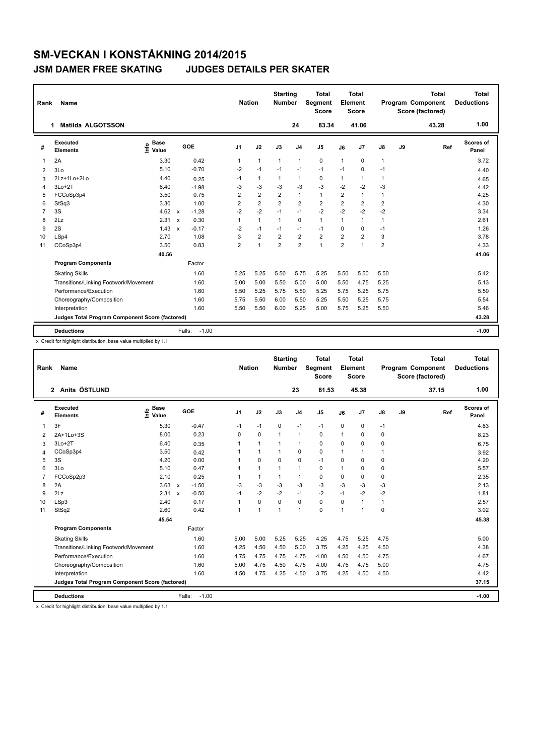| Rank           | Name                                            |                              |                           |         | <b>Nation</b>  |                | <b>Starting</b><br><b>Number</b> |                         | <b>Total</b><br>Segment<br><b>Score</b> |                | <b>Total</b><br>Element<br><b>Score</b> |                         |    | <b>Total</b><br>Program Component<br>Score (factored) | <b>Total</b><br><b>Deductions</b> |
|----------------|-------------------------------------------------|------------------------------|---------------------------|---------|----------------|----------------|----------------------------------|-------------------------|-----------------------------------------|----------------|-----------------------------------------|-------------------------|----|-------------------------------------------------------|-----------------------------------|
|                | Matilda ALGOTSSON<br>1                          |                              |                           |         |                |                |                                  | 24                      | 83.34                                   |                | 41.06                                   |                         |    | 43.28                                                 | 1.00                              |
| #              | Executed<br><b>Elements</b>                     | <b>Base</b><br>١nf٥<br>Value | GOE                       |         | J <sub>1</sub> | J2             | J3                               | J <sub>4</sub>          | J <sub>5</sub>                          | J6             | J7                                      | J8                      | J9 | Ref                                                   | <b>Scores of</b><br>Panel         |
| $\mathbf{1}$   | 2A                                              | 3.30                         |                           | 0.42    | $\mathbf{1}$   | $\mathbf{1}$   | $\mathbf{1}$                     | $\mathbf{1}$            | $\mathbf 0$                             | 1              | 0                                       | $\mathbf{1}$            |    |                                                       | 3.72                              |
| $\overline{2}$ | 3Lo                                             | 5.10                         |                           | $-0.70$ | $-2$           | $-1$           | $-1$                             | $-1$                    | $-1$                                    | $-1$           | 0                                       | $-1$                    |    |                                                       | 4.40                              |
| 3              | 2Lz+1Lo+2Lo                                     | 4.40                         |                           | 0.25    | $-1$           | $\mathbf{1}$   | $\mathbf{1}$                     | $\mathbf{1}$            | 0                                       | 1              | 1                                       | 1                       |    |                                                       | 4.65                              |
| $\overline{4}$ | $3Lo+2T$                                        | 6.40                         |                           | $-1.98$ | $-3$           | $-3$           | $-3$                             | $-3$                    | $-3$                                    | $-2$           | $-2$                                    | $-3$                    |    |                                                       | 4.42                              |
| 5              | FCCoSp3p4                                       | 3.50                         |                           | 0.75    | 2              | $\overline{2}$ | $\overline{2}$                   | $\mathbf{1}$            | $\mathbf{1}$                            | 2              | $\mathbf{1}$                            | 1                       |    |                                                       | 4.25                              |
| 6              | StSq3                                           | 3.30                         |                           | 1.00    | 2              | $\overline{2}$ | $\overline{2}$                   | $\overline{2}$          | $\overline{2}$                          | $\overline{2}$ | 2                                       | $\overline{\mathbf{c}}$ |    |                                                       | 4.30                              |
| $\overline{7}$ | 3S                                              | 4.62                         | $\boldsymbol{\mathsf{x}}$ | $-1.28$ | $-2$           | $-2$           | $-1$                             | $-1$                    | $-2$                                    | $-2$           | $-2$                                    | $-2$                    |    |                                                       | 3.34                              |
| 8              | 2Lz                                             | 2.31                         | $\mathsf{x}$              | 0.30    | 1              | $\mathbf{1}$   | $\mathbf{1}$                     | $\mathbf 0$             | $\mathbf{1}$                            | 1              | $\mathbf{1}$                            | 1                       |    |                                                       | 2.61                              |
| 9              | 2S                                              | 1.43                         | $\mathbf{x}$              | $-0.17$ | $-2$           | $-1$           | $-1$                             | $-1$                    | $-1$                                    | 0              | $\Omega$                                | $-1$                    |    |                                                       | 1.26                              |
| 10             | LSp4                                            | 2.70                         |                           | 1.08    | 3              | $\overline{2}$ | $\overline{2}$                   | $\overline{\mathbf{c}}$ | $\overline{\mathbf{c}}$                 | 2              | $\overline{2}$                          | 3                       |    |                                                       | 3.78                              |
| 11             | CCoSp3p4                                        | 3.50                         |                           | 0.83    | $\overline{2}$ | $\overline{1}$ | $\overline{2}$                   | $\overline{2}$          | $\mathbf{1}$                            | $\overline{2}$ | 1                                       | $\overline{2}$          |    |                                                       | 4.33                              |
|                |                                                 | 40.56                        |                           |         |                |                |                                  |                         |                                         |                |                                         |                         |    |                                                       | 41.06                             |
|                | <b>Program Components</b>                       |                              |                           | Factor  |                |                |                                  |                         |                                         |                |                                         |                         |    |                                                       |                                   |
|                | <b>Skating Skills</b>                           |                              |                           | 1.60    | 5.25           | 5.25           | 5.50                             | 5.75                    | 5.25                                    | 5.50           | 5.50                                    | 5.50                    |    |                                                       | 5.42                              |
|                | Transitions/Linking Footwork/Movement           |                              |                           | 1.60    | 5.00           | 5.00           | 5.50                             | 5.00                    | 5.00                                    | 5.50           | 4.75                                    | 5.25                    |    |                                                       | 5.13                              |
|                | Performance/Execution                           |                              |                           | 1.60    | 5.50           | 5.25           | 5.75                             | 5.50                    | 5.25                                    | 5.75           | 5.25                                    | 5.75                    |    |                                                       | 5.50                              |
|                | Choreography/Composition                        |                              |                           | 1.60    | 5.75           | 5.50           | 6.00                             | 5.50                    | 5.25                                    | 5.50           | 5.25                                    | 5.75                    |    |                                                       | 5.54                              |
|                | Interpretation                                  |                              |                           | 1.60    | 5.50           | 5.50           | 6.00                             | 5.25                    | 5.00                                    | 5.75           | 5.25                                    | 5.50                    |    |                                                       | 5.46                              |
|                | Judges Total Program Component Score (factored) |                              |                           |         |                |                |                                  |                         |                                         |                |                                         |                         |    |                                                       | 43.28                             |
|                | <b>Deductions</b>                               |                              | Falls:                    | $-1.00$ |                |                |                                  |                         |                                         |                |                                         |                         |    |                                                       | $-1.00$                           |

x Credit for highlight distribution, base value multiplied by 1.1

| Rank           | Name                                            |                                  |                         | <b>Nation</b>  |              | <b>Starting</b><br><b>Number</b> |                | <b>Total</b><br>Segment<br><b>Score</b> |              | <b>Total</b><br>Element<br><b>Score</b> |               |    | <b>Total</b><br>Program Component<br>Score (factored) | <b>Total</b><br><b>Deductions</b> |
|----------------|-------------------------------------------------|----------------------------------|-------------------------|----------------|--------------|----------------------------------|----------------|-----------------------------------------|--------------|-----------------------------------------|---------------|----|-------------------------------------------------------|-----------------------------------|
|                | Anita ÖSTLUND<br>$\mathbf{2}$                   |                                  |                         |                |              |                                  | 23             | 81.53                                   |              | 45.38                                   |               |    | 37.15                                                 | 1.00                              |
| #              | Executed<br><b>Elements</b>                     | <b>Base</b><br>e Base<br>⊆ Value | GOE                     | J <sub>1</sub> | J2           | J3                               | J <sub>4</sub> | J <sub>5</sub>                          | J6           | J7                                      | $\mathsf{J}8$ | J9 | Ref                                                   | Scores of<br>Panel                |
| 1              | 3F                                              | 5.30                             | $-0.47$                 | $-1$           | $-1$         | $\mathbf 0$                      | $-1$           | $-1$                                    | $\mathbf 0$  | $\pmb{0}$                               | $-1$          |    |                                                       | 4.83                              |
| 2              | 2A+1Lo+3S                                       | 8.00                             | 0.23                    | $\Omega$       | 0            | $\mathbf{1}$                     | $\mathbf{1}$   | 0                                       | $\mathbf{1}$ | 0                                       | 0             |    |                                                       | 8.23                              |
| 3              | $3Lo+2T$                                        | 6.40                             | 0.35                    | 1              | 1            | 1                                | $\mathbf{1}$   | 0                                       | $\Omega$     | $\Omega$                                | 0             |    |                                                       | 6.75                              |
| $\overline{4}$ | CCoSp3p4                                        | 3.50                             | 0.42                    |                | 1            | 1                                | 0              | 0                                       | 1            | $\overline{1}$                          | $\mathbf{1}$  |    |                                                       | 3.92                              |
| 5              | 3S                                              | 4.20                             | 0.00                    |                | $\Omega$     | $\Omega$                         | 0              | $-1$                                    | $\Omega$     | $\mathbf 0$                             | $\mathbf 0$   |    |                                                       | 4.20                              |
| 6              | 3Lo                                             | 5.10                             | 0.47                    |                | 1            | 1                                | 1              | 0                                       | 1            | $\mathbf 0$                             | 0             |    |                                                       | 5.57                              |
| 7              | FCCoSp2p3                                       | 2.10                             | 0.25                    |                | 1            | 1                                | $\mathbf{1}$   | 0                                       | $\Omega$     | 0                                       | 0             |    |                                                       | 2.35                              |
| 8              | 2A                                              | $3.63 \times$                    | $-1.50$                 | $-3$           | $-3$         | $-3$                             | $-3$           | $-3$                                    | $-3$         | $-3$                                    | $-3$          |    |                                                       | 2.13                              |
| 9              | 2Lz                                             | 2.31                             | $-0.50$<br>$\mathsf{x}$ | $-1$           | $-2$         | $-2$                             | $-1$           | $-2$                                    | $-1$         | $-2$                                    | $-2$          |    |                                                       | 1.81                              |
| 10             | LSp3                                            | 2.40                             | 0.17                    | 1              | 0            | $\Omega$                         | 0              | $\Omega$                                | $\Omega$     | $\mathbf{1}$                            | $\mathbf{1}$  |    |                                                       | 2.57                              |
| 11             | StSq2                                           | 2.60                             | 0.42                    | 1              | $\mathbf{1}$ | $\overline{1}$                   | $\mathbf{1}$   | $\Omega$                                | 1            | $\overline{1}$                          | $\mathbf 0$   |    |                                                       | 3.02                              |
|                |                                                 | 45.54                            |                         |                |              |                                  |                |                                         |              |                                         |               |    |                                                       | 45.38                             |
|                | <b>Program Components</b>                       |                                  | Factor                  |                |              |                                  |                |                                         |              |                                         |               |    |                                                       |                                   |
|                | <b>Skating Skills</b>                           |                                  | 1.60                    | 5.00           | 5.00         | 5.25                             | 5.25           | 4.25                                    | 4.75         | 5.25                                    | 4.75          |    |                                                       | 5.00                              |
|                | Transitions/Linking Footwork/Movement           |                                  | 1.60                    | 4.25           | 4.50         | 4.50                             | 5.00           | 3.75                                    | 4.25         | 4.25                                    | 4.50          |    |                                                       | 4.38                              |
|                | Performance/Execution                           |                                  | 1.60                    | 4.75           | 4.75         | 4.75                             | 4.75           | 4.00                                    | 4.50         | 4.50                                    | 4.75          |    |                                                       | 4.67                              |
|                | Choreography/Composition                        |                                  | 1.60                    | 5.00           | 4.75         | 4.50                             | 4.75           | 4.00                                    | 4.75         | 4.75                                    | 5.00          |    |                                                       | 4.75                              |
|                | Interpretation                                  |                                  | 1.60                    | 4.50           | 4.75         | 4.25                             | 4.50           | 3.75                                    | 4.25         | 4.50                                    | 4.50          |    |                                                       | 4.42                              |
|                | Judges Total Program Component Score (factored) |                                  |                         |                |              |                                  |                |                                         |              |                                         |               |    |                                                       | 37.15                             |
|                | <b>Deductions</b>                               |                                  | $-1.00$<br>Falls:       |                |              |                                  |                |                                         |              |                                         |               |    |                                                       | $-1.00$                           |

x Credit for highlight distribution, base value multiplied by 1.1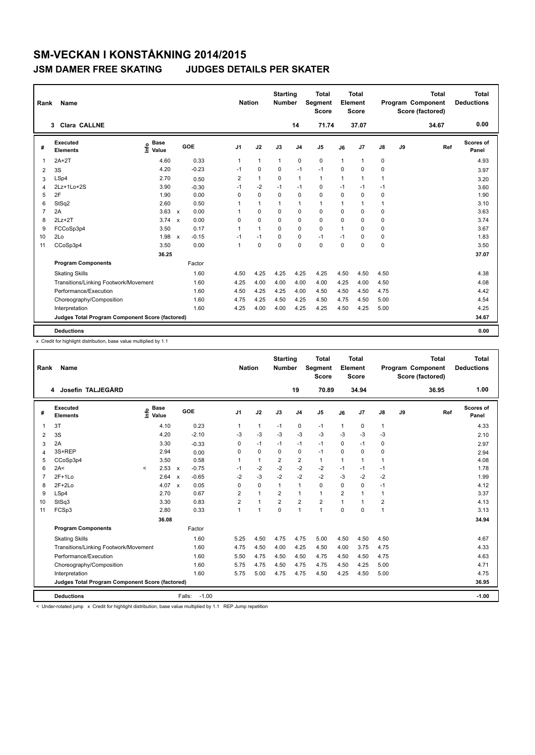| Rank           | <b>Name</b>                                     |                              |              |         |                | <b>Nation</b> |              | <b>Starting</b><br><b>Number</b> |                | <b>Total</b><br>Segment<br><b>Score</b> |              | <b>Total</b><br>Element<br><b>Score</b> |      |    | <b>Total</b><br>Program Component<br>Score (factored) | Total<br><b>Deductions</b> |
|----------------|-------------------------------------------------|------------------------------|--------------|---------|----------------|---------------|--------------|----------------------------------|----------------|-----------------------------------------|--------------|-----------------------------------------|------|----|-------------------------------------------------------|----------------------------|
|                | Clara CALLNE<br>3                               |                              |              |         |                |               |              |                                  | 14             | 71.74                                   |              | 37.07                                   |      |    | 34.67                                                 | 0.00                       |
| #              | Executed<br><b>Elements</b>                     | <b>Base</b><br>١nf٥<br>Value |              | GOE     | J <sub>1</sub> |               | J2           | J3                               | J <sub>4</sub> | J <sub>5</sub>                          | J6           | J7                                      | J8   | J9 | Ref                                                   | Scores of<br>Panel         |
| $\mathbf 1$    | $2A+2T$                                         | 4.60                         |              | 0.33    | 1              |               | $\mathbf{1}$ | $\mathbf{1}$                     | $\mathbf 0$    | $\pmb{0}$                               | $\mathbf{1}$ | 1                                       | 0    |    |                                                       | 4.93                       |
| 2              | 3S                                              | 4.20                         |              | $-0.23$ | $-1$           |               | $\mathbf 0$  | 0                                | $-1$           | $-1$                                    | $\Omega$     | $\Omega$                                | 0    |    |                                                       | 3.97                       |
| 3              | LSp4                                            | 2.70                         |              | 0.50    | 2              |               | $\mathbf{1}$ | 0                                | $\mathbf{1}$   | $\mathbf{1}$                            | $\mathbf{1}$ | 1                                       | 1    |    |                                                       | 3.20                       |
| 4              | 2Lz+1Lo+2S                                      | 3.90                         |              | $-0.30$ | $-1$           |               | $-2$         | $-1$                             | $-1$           | $\Omega$                                | $-1$         | $-1$                                    | $-1$ |    |                                                       | 3.60                       |
| 5              | 2F                                              | 1.90                         |              | 0.00    | $\Omega$       |               | $\mathbf 0$  | $\Omega$                         | $\mathbf 0$    | $\Omega$                                | $\Omega$     | $\Omega$                                | 0    |    |                                                       | 1.90                       |
| 6              | StSq2                                           | 2.60                         |              | 0.50    | 1              |               | $\mathbf{1}$ | $\mathbf{1}$                     | $\mathbf{1}$   | $\mathbf{1}$                            | 1            | 1                                       | 1    |    |                                                       | 3.10                       |
| $\overline{7}$ | 2A                                              | 3.63                         | $\mathsf{x}$ | 0.00    | 1              |               | $\Omega$     | $\Omega$                         | 0              | $\Omega$                                | $\Omega$     | 0                                       | 0    |    |                                                       | 3.63                       |
| 8              | $2Lz+2T$                                        | 3.74                         | $\mathsf{x}$ | 0.00    | $\Omega$       |               | 0            | $\Omega$                         | 0              | 0                                       | $\Omega$     | 0                                       | 0    |    |                                                       | 3.74                       |
| 9              | FCCoSp3p4                                       | 3.50                         |              | 0.17    | 1              |               | $\mathbf{1}$ | $\Omega$                         | $\Omega$       | $\Omega$                                | 1            | $\Omega$                                | 0    |    |                                                       | 3.67                       |
| 10             | 2Lo                                             | 1.98                         | $\mathsf{x}$ | $-0.15$ | $-1$           |               | $-1$         | 0                                | $\mathbf 0$    | $-1$                                    | $-1$         | 0                                       | 0    |    |                                                       | 1.83                       |
| 11             | CCoSp3p4                                        | 3.50                         |              | 0.00    | $\mathbf{1}$   |               | $\Omega$     | $\Omega$                         | $\Omega$       | $\Omega$                                | $\Omega$     | 0                                       | 0    |    |                                                       | 3.50                       |
|                |                                                 | 36.25                        |              |         |                |               |              |                                  |                |                                         |              |                                         |      |    |                                                       | 37.07                      |
|                | <b>Program Components</b>                       |                              |              | Factor  |                |               |              |                                  |                |                                         |              |                                         |      |    |                                                       |                            |
|                | <b>Skating Skills</b>                           |                              |              | 1.60    | 4.50           |               | 4.25         | 4.25                             | 4.25           | 4.25                                    | 4.50         | 4.50                                    | 4.50 |    |                                                       | 4.38                       |
|                | Transitions/Linking Footwork/Movement           |                              |              | 1.60    | 4.25           |               | 4.00         | 4.00                             | 4.00           | 4.00                                    | 4.25         | 4.00                                    | 4.50 |    |                                                       | 4.08                       |
|                | Performance/Execution                           |                              |              | 1.60    | 4.50           |               | 4.25         | 4.25                             | 4.00           | 4.50                                    | 4.50         | 4.50                                    | 4.75 |    |                                                       | 4.42                       |
|                | Choreography/Composition                        |                              |              | 1.60    | 4.75           |               | 4.25         | 4.50                             | 4.25           | 4.50                                    | 4.75         | 4.50                                    | 5.00 |    |                                                       | 4.54                       |
|                | Interpretation                                  |                              |              | 1.60    | 4.25           |               | 4.00         | 4.00                             | 4.25           | 4.25                                    | 4.50         | 4.25                                    | 5.00 |    |                                                       | 4.25                       |
|                | Judges Total Program Component Score (factored) |                              |              |         |                |               |              |                                  |                |                                         |              |                                         |      |    |                                                       | 34.67                      |
|                | <b>Deductions</b>                               |                              |              |         |                |               |              |                                  |                |                                         |              |                                         |      |    |                                                       | 0.00                       |

x Credit for highlight distribution, base value multiplied by 1.1

| Rank           | Name                                            |         |                      |                           |                   | <b>Nation</b>  |              | <b>Starting</b><br><b>Number</b> |                | <b>Total</b><br>Segment<br><b>Score</b> |                | <b>Total</b><br>Element<br><b>Score</b> |                         |    | <b>Total</b><br>Program Component<br>Score (factored) | <b>Total</b><br><b>Deductions</b> |
|----------------|-------------------------------------------------|---------|----------------------|---------------------------|-------------------|----------------|--------------|----------------------------------|----------------|-----------------------------------------|----------------|-----------------------------------------|-------------------------|----|-------------------------------------------------------|-----------------------------------|
|                | Josefin TALJEGÅRD<br>4                          |         |                      |                           |                   |                |              |                                  | 19             | 70.89                                   |                | 34.94                                   |                         |    | 36.95                                                 | 1.00                              |
| #              | Executed<br><b>Elements</b>                     | ۴ů      | <b>Base</b><br>Value |                           | GOE               | J1             | J2           | J3                               | J <sub>4</sub> | J <sub>5</sub>                          | J6             | J <sub>7</sub>                          | $\mathsf{J}8$           | J9 | Ref                                                   | Scores of<br>Panel                |
| 1              | 3T                                              |         | 4.10                 |                           | 0.23              | 1              | 1            | $-1$                             | $\mathbf 0$    | $-1$                                    | 1              | $\pmb{0}$                               | $\mathbf{1}$            |    |                                                       | 4.33                              |
| $\overline{2}$ | 3S                                              |         | 4.20                 |                           | $-2.10$           | $-3$           | $-3$         | -3                               | $-3$           | -3                                      | -3             | -3                                      | -3                      |    |                                                       | 2.10                              |
| 3              | 2A                                              |         | 3.30                 |                           | $-0.33$           | 0              | $-1$         | $-1$                             | $-1$           | $-1$                                    | 0              | $-1$                                    | 0                       |    |                                                       | 2.97                              |
| 4              | 3S+REP                                          |         | 2.94                 |                           | 0.00              | $\Omega$       | 0            | $\Omega$                         | 0              | $-1$                                    | $\Omega$       | $\mathbf 0$                             | 0                       |    |                                                       | 2.94                              |
| 5              | CCoSp3p4                                        |         | 3.50                 |                           | 0.58              | 1              | $\mathbf{1}$ | $\overline{2}$                   | $\overline{2}$ | $\mathbf{1}$                            | 1              | $\mathbf{1}$                            | 1                       |    |                                                       | 4.08                              |
| 6              | 2A<                                             | $\prec$ | $2.53 \times$        |                           | $-0.75$           | $-1$           | $-2$         | $-2$                             | $-2$           | $-2$                                    | $-1$           | $-1$                                    | $-1$                    |    |                                                       | 1.78                              |
| 7              | $2F+1L0$                                        |         | 2.64                 | $\boldsymbol{\mathsf{x}}$ | $-0.65$           | $-2$           | $-3$         | $-2$                             | $-2$           | $-2$                                    | $-3$           | $-2$                                    | $-2$                    |    |                                                       | 1.99                              |
| 8              | $2F+2Lo$                                        |         | 4.07 $\times$        |                           | 0.05              | 0              | 0            | 1                                | $\mathbf{1}$   | 0                                       | $\Omega$       | $\mathbf 0$                             | $-1$                    |    |                                                       | 4.12                              |
| 9              | LSp4                                            |         | 2.70                 |                           | 0.67              | 2              | $\mathbf{1}$ | $\overline{2}$                   | $\mathbf{1}$   | $\mathbf{1}$                            | $\overline{2}$ | $\mathbf{1}$                            | 1                       |    |                                                       | 3.37                              |
| 10             | StSq3                                           |         | 3.30                 |                           | 0.83              | $\overline{2}$ | $\mathbf{1}$ | $\overline{2}$                   | $\overline{2}$ | $\overline{2}$                          |                | $\blacktriangleleft$                    | $\overline{\mathbf{c}}$ |    |                                                       | 4.13                              |
| 11             | FCSp3                                           |         | 2.80                 |                           | 0.33              | 1              | 1            | $\mathbf 0$                      | 1              | 1                                       | $\mathbf 0$    | $\mathbf 0$                             | $\mathbf{1}$            |    |                                                       | 3.13                              |
|                |                                                 |         | 36.08                |                           |                   |                |              |                                  |                |                                         |                |                                         |                         |    |                                                       | 34.94                             |
|                | <b>Program Components</b>                       |         |                      |                           | Factor            |                |              |                                  |                |                                         |                |                                         |                         |    |                                                       |                                   |
|                | <b>Skating Skills</b>                           |         |                      |                           | 1.60              | 5.25           | 4.50         | 4.75                             | 4.75           | 5.00                                    | 4.50           | 4.50                                    | 4.50                    |    |                                                       | 4.67                              |
|                | Transitions/Linking Footwork/Movement           |         |                      |                           | 1.60              | 4.75           | 4.50         | 4.00                             | 4.25           | 4.50                                    | 4.00           | 3.75                                    | 4.75                    |    |                                                       | 4.33                              |
|                | Performance/Execution                           |         |                      |                           | 1.60              | 5.50           | 4.75         | 4.50                             | 4.50           | 4.75                                    | 4.50           | 4.50                                    | 4.75                    |    |                                                       | 4.63                              |
|                | Choreography/Composition                        |         |                      |                           | 1.60              | 5.75           | 4.75         | 4.50                             | 4.75           | 4.75                                    | 4.50           | 4.25                                    | 5.00                    |    |                                                       | 4.71                              |
|                | Interpretation                                  |         |                      |                           | 1.60              | 5.75           | 5.00         | 4.75                             | 4.75           | 4.50                                    | 4.25           | 4.50                                    | 5.00                    |    |                                                       | 4.75                              |
|                | Judges Total Program Component Score (factored) |         |                      |                           |                   |                |              |                                  |                |                                         |                |                                         |                         |    |                                                       | 36.95                             |
|                | <b>Deductions</b>                               |         |                      |                           | $-1.00$<br>Falls: |                |              |                                  |                |                                         |                |                                         |                         |    |                                                       | $-1.00$                           |

< Under-rotated jump x Credit for highlight distribution, base value multiplied by 1.1 REP Jump repetition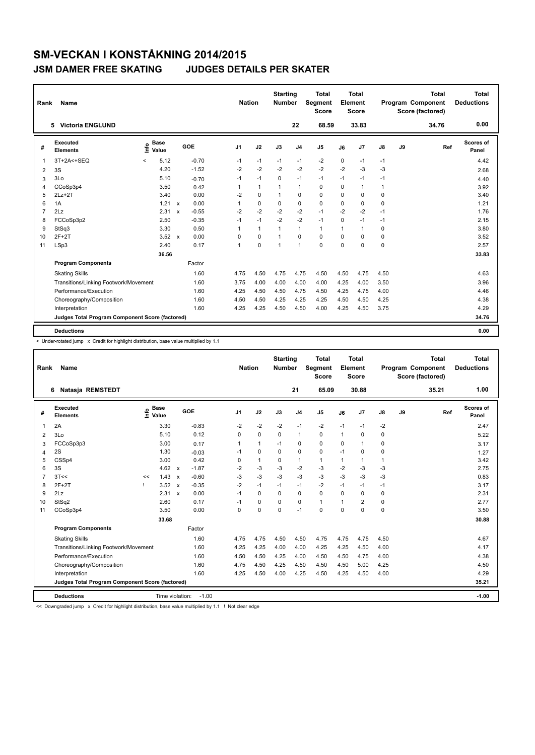| Rank           | <b>Name</b>                                     |         |                      |                           |         | <b>Nation</b>  |              | <b>Starting</b><br><b>Number</b> |                | <b>Total</b><br>Segment<br><b>Score</b> |              | <b>Total</b><br>Element<br><b>Score</b> |      |    | <b>Total</b><br>Program Component<br>Score (factored) | Total<br><b>Deductions</b> |
|----------------|-------------------------------------------------|---------|----------------------|---------------------------|---------|----------------|--------------|----------------------------------|----------------|-----------------------------------------|--------------|-----------------------------------------|------|----|-------------------------------------------------------|----------------------------|
|                | 5 Victoria ENGLUND                              |         |                      |                           |         |                |              |                                  | 22             | 68.59                                   |              | 33.83                                   |      |    | 34.76                                                 | 0.00                       |
| #              | Executed<br><b>Elements</b>                     | ۴ů      | <b>Base</b><br>Value |                           | GOE     | J <sub>1</sub> | J2           | J3                               | J <sub>4</sub> | J <sub>5</sub>                          | J6           | J7                                      | J8   | J9 | Ref                                                   | Scores of<br>Panel         |
| $\mathbf{1}$   | 3T+2A<+SEQ                                      | $\prec$ | 5.12                 |                           | $-0.70$ | $-1$           | $-1$         | $-1$                             | $-1$           | $-2$                                    | 0            | $-1$                                    | $-1$ |    |                                                       | 4.42                       |
| 2              | 3S                                              |         | 4.20                 |                           | $-1.52$ | $-2$           | $-2$         | $-2$                             | $-2$           | $-2$                                    | $-2$         | $-3$                                    | $-3$ |    |                                                       | 2.68                       |
| 3              | 3Lo                                             |         | 5.10                 |                           | $-0.70$ | $-1$           | $-1$         | $\Omega$                         | $-1$           | $-1$                                    | $-1$         | $-1$                                    | $-1$ |    |                                                       | 4.40                       |
| 4              | CCoSp3p4                                        |         | 3.50                 |                           | 0.42    | 1              | $\mathbf{1}$ | 1                                | $\mathbf{1}$   | $\Omega$                                | $\Omega$     | 1                                       | 1    |    |                                                       | 3.92                       |
| 5              | $2Lz+2T$                                        |         | 3.40                 |                           | 0.00    | $-2$           | $\mathbf 0$  | 1                                | $\mathbf 0$    | $\mathbf 0$                             | $\Omega$     | 0                                       | 0    |    |                                                       | 3.40                       |
| 6              | 1A                                              |         | 1.21                 | $\mathsf{x}$              | 0.00    | 1              | $\mathbf 0$  | $\mathbf 0$                      | $\mathbf 0$    | $\mathbf 0$                             | 0            | 0                                       | 0    |    |                                                       | 1.21                       |
| $\overline{7}$ | 2Lz                                             |         | 2.31                 | $\boldsymbol{\mathsf{x}}$ | $-0.55$ | $-2$           | $-2$         | $-2$                             | $-2$           | $-1$                                    | $-2$         | $-2$                                    | $-1$ |    |                                                       | 1.76                       |
| 8              | FCCoSp3p2                                       |         | 2.50                 |                           | $-0.35$ | $-1$           | $-1$         | $-2$                             | $-2$           | $-1$                                    | $\Omega$     | $-1$                                    | $-1$ |    |                                                       | 2.15                       |
| 9              | StSq3                                           |         | 3.30                 |                           | 0.50    | 1              | $\mathbf{1}$ | $\mathbf{1}$                     | $\mathbf{1}$   | $\mathbf{1}$                            | $\mathbf{1}$ | $\blacktriangleleft$                    | 0    |    |                                                       | 3.80                       |
| 10             | $2F+2T$                                         |         | 3.52                 | $\boldsymbol{\mathsf{x}}$ | 0.00    | 0              | $\mathbf 0$  | 1                                | $\mathbf 0$    | $\mathbf 0$                             | $\Omega$     | 0                                       | 0    |    |                                                       | 3.52                       |
| 11             | LSp3                                            |         | 2.40                 |                           | 0.17    | 1              | $\mathbf 0$  | 1                                | $\mathbf{1}$   | 0                                       | $\Omega$     | $\Omega$                                | 0    |    |                                                       | 2.57                       |
|                |                                                 |         | 36.56                |                           |         |                |              |                                  |                |                                         |              |                                         |      |    |                                                       | 33.83                      |
|                | <b>Program Components</b>                       |         |                      |                           | Factor  |                |              |                                  |                |                                         |              |                                         |      |    |                                                       |                            |
|                | <b>Skating Skills</b>                           |         |                      |                           | 1.60    | 4.75           | 4.50         | 4.75                             | 4.75           | 4.50                                    | 4.50         | 4.75                                    | 4.50 |    |                                                       | 4.63                       |
|                | Transitions/Linking Footwork/Movement           |         |                      |                           | 1.60    | 3.75           | 4.00         | 4.00                             | 4.00           | 4.00                                    | 4.25         | 4.00                                    | 3.50 |    |                                                       | 3.96                       |
|                | Performance/Execution                           |         |                      |                           | 1.60    | 4.25           | 4.50         | 4.50                             | 4.75           | 4.50                                    | 4.25         | 4.75                                    | 4.00 |    |                                                       | 4.46                       |
|                | Choreography/Composition                        |         |                      |                           | 1.60    | 4.50           | 4.50         | 4.25                             | 4.25           | 4.25                                    | 4.50         | 4.50                                    | 4.25 |    |                                                       | 4.38                       |
|                | Interpretation                                  |         |                      |                           | 1.60    | 4.25           | 4.25         | 4.50                             | 4.50           | 4.00                                    | 4.25         | 4.50                                    | 3.75 |    |                                                       | 4.29                       |
|                | Judges Total Program Component Score (factored) |         |                      |                           |         |                |              |                                  |                |                                         |              |                                         |      |    |                                                       | 34.76                      |
|                | <b>Deductions</b>                               |         |                      |                           |         |                |              |                                  |                |                                         |              |                                         |      |    |                                                       | 0.00                       |

< Under-rotated jump x Credit for highlight distribution, base value multiplied by 1.1

| Rank | Name                                            |      |                      |              |         | <b>Nation</b>  |          | <b>Starting</b><br><b>Number</b> |                | <b>Total</b><br>Segment<br><b>Score</b> |              | Total<br>Element<br><b>Score</b> |              |    | <b>Total</b><br>Program Component<br>Score (factored) | <b>Total</b><br><b>Deductions</b> |
|------|-------------------------------------------------|------|----------------------|--------------|---------|----------------|----------|----------------------------------|----------------|-----------------------------------------|--------------|----------------------------------|--------------|----|-------------------------------------------------------|-----------------------------------|
|      | Natasja REMSTEDT<br>6                           |      |                      |              |         |                |          |                                  | 21             | 65.09                                   |              | 30.88                            |              |    | 35.21                                                 | 1.00                              |
| #    | <b>Executed</b><br><b>Elements</b>              | lnfo | <b>Base</b><br>Value |              | GOE     | J <sub>1</sub> | J2       | J3                               | J <sub>4</sub> | J <sub>5</sub>                          | J6           | J <sub>7</sub>                   | J8           | J9 | Ref                                                   | <b>Scores of</b><br>Panel         |
| 1    | 2A                                              |      | 3.30                 |              | $-0.83$ | $-2$           | $-2$     | $-2$                             | $-1$           | $-2$                                    | $-1$         | $-1$                             | $-2$         |    |                                                       | 2.47                              |
| 2    | 3Lo                                             |      | 5.10                 |              | 0.12    | $\Omega$       | $\Omega$ | $\Omega$                         | $\mathbf{1}$   | 0                                       | $\mathbf{1}$ | $\Omega$                         | 0            |    |                                                       | 5.22                              |
| 3    | FCCoSp3p3                                       |      | 3.00                 |              | 0.17    | 1              | 1        | $-1$                             | 0              | 0                                       | 0            | $\overline{1}$                   | 0            |    |                                                       | 3.17                              |
| 4    | 2S                                              |      | 1.30                 |              | $-0.03$ | $-1$           | 0        | $\Omega$                         | 0              | 0                                       | $-1$         | 0                                | 0            |    |                                                       | 1.27                              |
| 5    | CSSp4                                           |      | 3.00                 |              | 0.42    | 0              | 1        | 0                                | $\mathbf{1}$   | $\mathbf{1}$                            | $\mathbf{1}$ | $\mathbf{1}$                     | $\mathbf{1}$ |    |                                                       | 3.42                              |
| 6    | 3S                                              |      | $4.62 \times$        |              | $-1.87$ | $-2$           | $-3$     | $-3$                             | $-2$           | $-3$                                    | $-2$         | $-3$                             | $-3$         |    |                                                       | 2.75                              |
|      | 3T<<                                            | <<   | 1.43                 | $\mathsf{x}$ | $-0.60$ | $-3$           | $-3$     | $-3$                             | $-3$           | $-3$                                    | $-3$         | $-3$                             | $-3$         |    |                                                       | 0.83                              |
| 8    | $2F+2T$                                         | ı    | $3.52 \times$        |              | $-0.35$ | $-2$           | $-1$     | $-1$                             | $-1$           | $-2$                                    | $-1$         | $-1$                             | $-1$         |    |                                                       | 3.17                              |
| 9    | 2Lz                                             |      | $2.31 \times$        |              | 0.00    | $-1$           | $\Omega$ | $\Omega$                         | 0              | $\Omega$                                | $\Omega$     | $\mathbf 0$                      | 0            |    |                                                       | 2.31                              |
| 10   | StSq2                                           |      | 2.60                 |              | 0.17    | $-1$           | $\Omega$ | $\Omega$                         | $\Omega$       | $\mathbf{1}$                            | 1            | $\overline{2}$                   | 0            |    |                                                       | 2.77                              |
| 11   | CCoSp3p4                                        |      | 3.50                 |              | 0.00    | $\mathbf 0$    | 0        | $\mathbf 0$                      | $-1$           | 0                                       | $\mathbf 0$  | $\mathbf 0$                      | $\mathbf 0$  |    |                                                       | 3.50                              |
|      |                                                 |      | 33.68                |              |         |                |          |                                  |                |                                         |              |                                  |              |    |                                                       | 30.88                             |
|      | <b>Program Components</b>                       |      |                      |              | Factor  |                |          |                                  |                |                                         |              |                                  |              |    |                                                       |                                   |
|      | <b>Skating Skills</b>                           |      |                      |              | 1.60    | 4.75           | 4.75     | 4.50                             | 4.50           | 4.75                                    | 4.75         | 4.75                             | 4.50         |    |                                                       | 4.67                              |
|      | Transitions/Linking Footwork/Movement           |      |                      |              | 1.60    | 4.25           | 4.25     | 4.00                             | 4.00           | 4.25                                    | 4.25         | 4.50                             | 4.00         |    |                                                       | 4.17                              |
|      | Performance/Execution                           |      |                      |              | 1.60    | 4.50           | 4.50     | 4.25                             | 4.00           | 4.50                                    | 4.50         | 4.75                             | 4.00         |    |                                                       | 4.38                              |
|      | Choreography/Composition                        |      |                      |              | 1.60    | 4.75           | 4.50     | 4.25                             | 4.50           | 4.50                                    | 4.50         | 5.00                             | 4.25         |    |                                                       | 4.50                              |
|      | Interpretation                                  |      |                      |              | 1.60    | 4.25           | 4.50     | 4.00                             | 4.25           | 4.50                                    | 4.25         | 4.50                             | 4.00         |    |                                                       | 4.29                              |
|      | Judges Total Program Component Score (factored) |      |                      |              |         |                |          |                                  |                |                                         |              |                                  |              |    |                                                       | 35.21                             |
|      | <b>Deductions</b>                               |      | Time violation:      |              | $-1.00$ |                |          |                                  |                |                                         |              |                                  |              |    |                                                       | $-1.00$                           |

<< Downgraded jump x Credit for highlight distribution, base value multiplied by 1.1 ! Not clear edge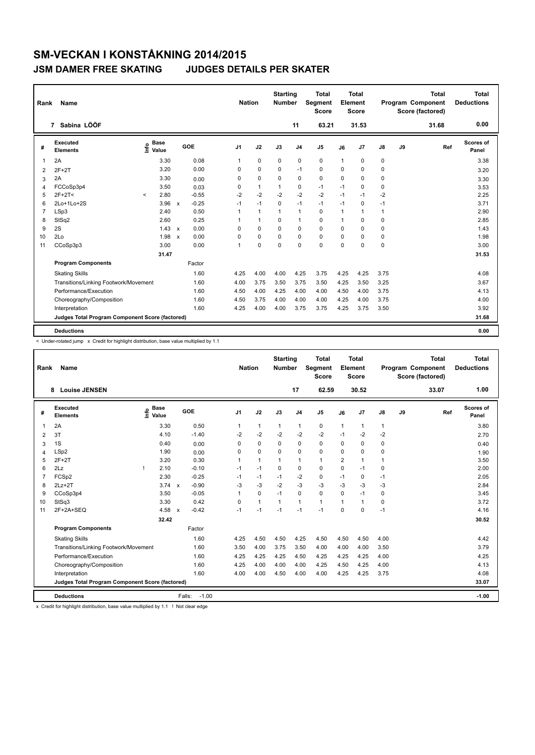| Rank           | <b>Name</b>                                     |         |                      |                           |         | <b>Nation</b>  |              | <b>Starting</b><br><b>Number</b> |                | <b>Total</b><br><b>Segment</b><br><b>Score</b> |              | <b>Total</b><br>Element<br>Score |      |    | <b>Total</b><br>Program Component<br>Score (factored) | Total<br><b>Deductions</b> |
|----------------|-------------------------------------------------|---------|----------------------|---------------------------|---------|----------------|--------------|----------------------------------|----------------|------------------------------------------------|--------------|----------------------------------|------|----|-------------------------------------------------------|----------------------------|
|                | 7 Sabina LÖÖF                                   |         |                      |                           |         |                |              |                                  | 11             | 63.21                                          |              | 31.53                            |      |    | 31.68                                                 | 0.00                       |
| #              | Executed<br><b>Elements</b>                     | lnfo    | <b>Base</b><br>Value |                           | GOE     | J <sub>1</sub> | J2           | J3                               | J <sub>4</sub> | J <sub>5</sub>                                 | J6           | J7                               | J8   | J9 | Ref                                                   | Scores of<br>Panel         |
| $\mathbf 1$    | 2A                                              |         | 3.30                 |                           | 0.08    | 1              | $\mathbf 0$  | $\mathbf 0$                      | $\mathbf 0$    | $\mathbf 0$                                    | $\mathbf{1}$ | 0                                | 0    |    |                                                       | 3.38                       |
| 2              | $2F+2T$                                         |         | 3.20                 |                           | 0.00    | $\Omega$       | $\mathbf 0$  | $\Omega$                         | $-1$           | 0                                              | $\Omega$     | 0                                | 0    |    |                                                       | 3.20                       |
| 3              | 2A                                              |         | 3.30                 |                           | 0.00    | 0              | $\mathbf 0$  | 0                                | $\mathbf 0$    | $\mathbf 0$                                    | 0            | 0                                | 0    |    |                                                       | 3.30                       |
| $\overline{4}$ | FCCoSp3p4                                       |         | 3.50                 |                           | 0.03    | $\Omega$       | $\mathbf{1}$ | 1                                | 0              | $-1$                                           | $-1$         | $\Omega$                         | 0    |    |                                                       | 3.53                       |
| 5              | $2F+2T<$                                        | $\prec$ | 2.80                 |                           | $-0.55$ | $-2$           | $-2$         | $-2$                             | $-2$           | $-2$                                           | $-1$         | $-1$                             | $-2$ |    |                                                       | 2.25                       |
| 6              | 2Lo+1Lo+2S                                      |         | 3.96                 | $\mathsf{x}$              | $-0.25$ | $-1$           | $-1$         | $\mathbf 0$                      | $-1$           | $-1$                                           | $-1$         | 0                                | $-1$ |    |                                                       | 3.71                       |
| $\overline{7}$ | LSp3                                            |         | 2.40                 |                           | 0.50    | $\mathbf{1}$   | $\mathbf{1}$ | $\mathbf{1}$                     | $\mathbf{1}$   | $\Omega$                                       | 1            | 1                                | 1    |    |                                                       | 2.90                       |
| 8              | StSq2                                           |         | 2.60                 |                           | 0.25    | 1              | $\mathbf{1}$ | $\mathbf 0$                      | $\mathbf{1}$   | $\mathbf 0$                                    | 1            | 0                                | 0    |    |                                                       | 2.85                       |
| 9              | 2S                                              |         | 1.43                 | $\mathbf{x}$              | 0.00    | $\Omega$       | $\Omega$     | $\Omega$                         | $\mathbf 0$    | $\mathbf 0$                                    | $\Omega$     | 0                                | 0    |    |                                                       | 1.43                       |
| 10             | 2Lo                                             |         | 1.98                 | $\boldsymbol{\mathsf{x}}$ | 0.00    | 0              | $\mathbf 0$  | $\mathbf 0$                      | $\mathbf 0$    | $\mathbf 0$                                    | 0            | 0                                | 0    |    |                                                       | 1.98                       |
| 11             | CCoSp3p3                                        |         | 3.00                 |                           | 0.00    | 1              | $\mathbf 0$  | $\Omega$                         | $\Omega$       | $\Omega$                                       | $\Omega$     | 0                                | 0    |    |                                                       | 3.00                       |
|                |                                                 |         | 31.47                |                           |         |                |              |                                  |                |                                                |              |                                  |      |    |                                                       | 31.53                      |
|                | <b>Program Components</b>                       |         |                      |                           | Factor  |                |              |                                  |                |                                                |              |                                  |      |    |                                                       |                            |
|                | <b>Skating Skills</b>                           |         |                      |                           | 1.60    | 4.25           | 4.00         | 4.00                             | 4.25           | 3.75                                           | 4.25         | 4.25                             | 3.75 |    |                                                       | 4.08                       |
|                | Transitions/Linking Footwork/Movement           |         |                      |                           | 1.60    | 4.00           | 3.75         | 3.50                             | 3.75           | 3.50                                           | 4.25         | 3.50                             | 3.25 |    |                                                       | 3.67                       |
|                | Performance/Execution                           |         |                      |                           | 1.60    | 4.50           | 4.00         | 4.25                             | 4.00           | 4.00                                           | 4.50         | 4.00                             | 3.75 |    |                                                       | 4.13                       |
|                | Choreography/Composition                        |         |                      |                           | 1.60    | 4.50           | 3.75         | 4.00                             | 4.00           | 4.00                                           | 4.25         | 4.00                             | 3.75 |    |                                                       | 4.00                       |
|                | Interpretation                                  |         |                      |                           | 1.60    | 4.25           | 4.00         | 4.00                             | 3.75           | 3.75                                           | 4.25         | 3.75                             | 3.50 |    |                                                       | 3.92                       |
|                | Judges Total Program Component Score (factored) |         |                      |                           |         |                |              |                                  |                |                                                |              |                                  |      |    |                                                       | 31.68                      |
|                | <b>Deductions</b>                               |         |                      |                           |         |                |              |                                  |                |                                                |              |                                  |      |    |                                                       | 0.00                       |

< Under-rotated jump x Credit for highlight distribution, base value multiplied by 1.1

| Rank           | Name                                            |                                  |              |                   | <b>Nation</b>  |              | <b>Starting</b><br><b>Number</b> |                | <b>Total</b><br>Segment<br><b>Score</b> |                | <b>Total</b><br>Element<br><b>Score</b> |               |    | <b>Total</b><br>Program Component<br>Score (factored) |     | <b>Total</b><br><b>Deductions</b> |
|----------------|-------------------------------------------------|----------------------------------|--------------|-------------------|----------------|--------------|----------------------------------|----------------|-----------------------------------------|----------------|-----------------------------------------|---------------|----|-------------------------------------------------------|-----|-----------------------------------|
|                | <b>Louise JENSEN</b><br>8                       |                                  |              |                   |                |              |                                  | 17             | 62.59                                   |                | 30.52                                   |               |    | 33.07                                                 |     | 1.00                              |
| #              | Executed<br><b>Elements</b>                     | <b>Base</b><br>e Base<br>E Value |              | GOE               | J <sub>1</sub> | J2           | J3                               | J <sub>4</sub> | J5                                      | J6             | J7                                      | $\mathsf{J}8$ | J9 |                                                       | Ref | Scores of<br>Panel                |
| 1              | 2A                                              | 3.30                             |              | 0.50              | 1              | $\mathbf{1}$ | $\mathbf{1}$                     | $\mathbf{1}$   | 0                                       | $\mathbf{1}$   | $\mathbf{1}$                            | $\mathbf{1}$  |    |                                                       |     | 3.80                              |
| $\overline{2}$ | 3T                                              | 4.10                             |              | $-1.40$           | $-2$           | $-2$         | $-2$                             | $-2$           | $-2$                                    | $-1$           | $-2$                                    | $-2$          |    |                                                       |     | 2.70                              |
| 3              | 1S                                              | 0.40                             |              | 0.00              | $\Omega$       | 0            | 0                                | $\mathbf 0$    | 0                                       | $\Omega$       | $\mathbf 0$                             | 0             |    |                                                       |     | 0.40                              |
| $\overline{4}$ | LSp2                                            | 1.90                             |              | 0.00              | 0              | 0            | 0                                | $\mathbf 0$    | 0                                       | 0              | $\mathbf 0$                             | 0             |    |                                                       |     | 1.90                              |
| 5              | $2F+2T$                                         | 3.20                             |              | 0.30              | 1              | $\mathbf{1}$ | $\overline{1}$                   | $\mathbf{1}$   | $\mathbf{1}$                            | $\overline{2}$ | $\blacktriangleleft$                    | 1             |    |                                                       |     | 3.50                              |
| 6              | 2Lz                                             | 2.10                             |              | $-0.10$           | $-1$           | $-1$         | 0                                | $\mathbf 0$    | 0                                       | 0              | $-1$                                    | 0             |    |                                                       |     | 2.00                              |
| 7              | FCSp2                                           | 2.30                             |              | $-0.25$           | $-1$           | $-1$         | $-1$                             | $-2$           | 0                                       | $-1$           | 0                                       | $-1$          |    |                                                       |     | 2.05                              |
| 8              | $2Lz+2T$                                        | 3.74                             | $\mathsf{x}$ | $-0.90$           | $-3$           | $-3$         | $-2$                             | $-3$           | $-3$                                    | $-3$           | $-3$                                    | $-3$          |    |                                                       |     | 2.84                              |
| 9              | CCoSp3p4                                        | 3.50                             |              | $-0.05$           | 1              | $\mathbf 0$  | $-1$                             | $\Omega$       | $\Omega$                                | $\Omega$       | $-1$                                    | 0             |    |                                                       |     | 3.45                              |
| 10             | StSq3                                           | 3.30                             |              | 0.42              | 0              | $\mathbf{1}$ | $\mathbf{1}$                     | $\mathbf{1}$   | $\mathbf{1}$                            | 1              | $\mathbf{1}$                            | 0             |    |                                                       |     | 3.72                              |
| 11             | 2F+2A+SEQ                                       | $4.58 \times$                    |              | $-0.42$           | $-1$           | $-1$         | $-1$                             | $-1$           | $-1$                                    | $\Omega$       | $\Omega$                                | $-1$          |    |                                                       |     | 4.16                              |
|                |                                                 | 32.42                            |              |                   |                |              |                                  |                |                                         |                |                                         |               |    |                                                       |     | 30.52                             |
|                | <b>Program Components</b>                       |                                  |              | Factor            |                |              |                                  |                |                                         |                |                                         |               |    |                                                       |     |                                   |
|                | <b>Skating Skills</b>                           |                                  |              | 1.60              | 4.25           | 4.50         | 4.50                             | 4.25           | 4.50                                    | 4.50           | 4.50                                    | 4.00          |    |                                                       |     | 4.42                              |
|                | Transitions/Linking Footwork/Movement           |                                  |              | 1.60              | 3.50           | 4.00         | 3.75                             | 3.50           | 4.00                                    | 4.00           | 4.00                                    | 3.50          |    |                                                       |     | 3.79                              |
|                | Performance/Execution                           |                                  |              | 1.60              | 4.25           | 4.25         | 4.25                             | 4.50           | 4.25                                    | 4.25           | 4.25                                    | 4.00          |    |                                                       |     | 4.25                              |
|                | Choreography/Composition                        |                                  |              | 1.60              | 4.25           | 4.00         | 4.00                             | 4.00           | 4.25                                    | 4.50           | 4.25                                    | 4.00          |    |                                                       |     | 4.13                              |
|                | Interpretation                                  |                                  |              | 1.60              | 4.00           | 4.00         | 4.50                             | 4.00           | 4.00                                    | 4.25           | 4.25                                    | 3.75          |    |                                                       |     | 4.08                              |
|                | Judges Total Program Component Score (factored) |                                  |              |                   |                |              |                                  |                |                                         |                |                                         |               |    |                                                       |     | 33.07                             |
|                | <b>Deductions</b>                               |                                  |              | $-1.00$<br>Falls: |                |              |                                  |                |                                         |                |                                         |               |    |                                                       |     | $-1.00$                           |

x Credit for highlight distribution, base value multiplied by 1.1 ! Not clear edge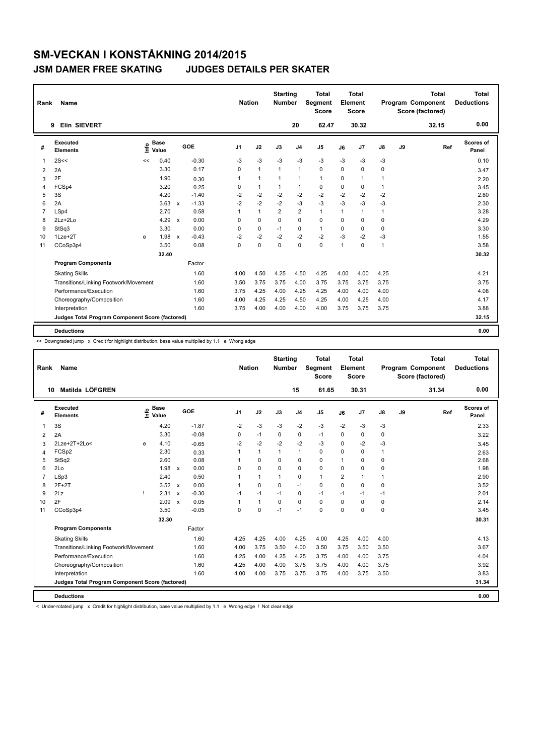| Rank           | Name                                            |    |                      |                           |         | <b>Nation</b>  |              | <b>Starting</b><br><b>Number</b> |                | <b>Total</b><br>Segment<br><b>Score</b> |              | <b>Total</b><br>Element<br>Score |               |    | <b>Total</b><br>Program Component<br>Score (factored) | Total<br><b>Deductions</b> |
|----------------|-------------------------------------------------|----|----------------------|---------------------------|---------|----------------|--------------|----------------------------------|----------------|-----------------------------------------|--------------|----------------------------------|---------------|----|-------------------------------------------------------|----------------------------|
|                | Elin SIEVERT<br>9                               |    |                      |                           |         |                |              |                                  | 20             | 62.47                                   |              | 30.32                            |               |    | 32.15                                                 | 0.00                       |
| #              | Executed<br><b>Elements</b>                     | ۴ů | <b>Base</b><br>Value |                           | GOE     | J <sub>1</sub> | J2           | J3                               | J <sub>4</sub> | J <sub>5</sub>                          | J6           | J7                               | $\mathsf{J}8$ | J9 | Ref                                                   | Scores of<br>Panel         |
| 1              | 2S<<                                            | << | 0.40                 |                           | $-0.30$ | $-3$           | $-3$         | $-3$                             | $-3$           | $-3$                                    | $-3$         | $-3$                             | $-3$          |    |                                                       | 0.10                       |
| 2              | 2A                                              |    | 3.30                 |                           | 0.17    | 0              | $\mathbf{1}$ | $\mathbf{1}$                     | $\mathbf{1}$   | $\mathbf 0$                             | $\Omega$     | 0                                | 0             |    |                                                       | 3.47                       |
| 3              | 2F                                              |    | 1.90                 |                           | 0.30    | 1              | $\mathbf{1}$ | $\overline{1}$                   | $\mathbf{1}$   | $\mathbf{1}$                            | 0            | 1                                | 1             |    |                                                       | 2.20                       |
| $\overline{4}$ | FCSp4                                           |    | 3.20                 |                           | 0.25    | 0              | $\mathbf{1}$ | $\mathbf{1}$                     | $\mathbf{1}$   | 0                                       | 0            | 0                                | $\mathbf{1}$  |    |                                                       | 3.45                       |
| 5              | 3S                                              |    | 4.20                 |                           | $-1.40$ | $-2$           | $-2$         | $-2$                             | $-2$           | $-2$                                    | $-2$         | $-2$                             | $-2$          |    |                                                       | 2.80                       |
| 6              | 2A                                              |    | 3.63                 | $\boldsymbol{\mathsf{x}}$ | $-1.33$ | $-2$           | $-2$         | $-2$                             | $-3$           | $-3$                                    | $-3$         | $-3$                             | $-3$          |    |                                                       | 2.30                       |
| $\overline{7}$ | LSp4                                            |    | 2.70                 |                           | 0.58    | 1              | $\mathbf{1}$ | $\overline{2}$                   | $\overline{2}$ | $\mathbf{1}$                            | 1            | $\mathbf{1}$                     | 1             |    |                                                       | 3.28                       |
| 8              | $2Lz+2Lo$                                       |    | 4.29                 | $\boldsymbol{\mathsf{x}}$ | 0.00    | 0              | $\mathbf 0$  | $\Omega$                         | $\mathbf 0$    | $\mathbf 0$                             | $\Omega$     | 0                                | 0             |    |                                                       | 4.29                       |
| 9              | StSq3                                           |    | 3.30                 |                           | 0.00    | 0              | $\mathbf 0$  | $-1$                             | $\mathbf 0$    | $\mathbf{1}$                            | $\Omega$     | 0                                | 0             |    |                                                       | 3.30                       |
| 10             | $1$ Lze $+2$ T                                  | e  | 1.98                 | $\boldsymbol{\mathsf{x}}$ | $-0.43$ | $-2$           | $-2$         | $-2$                             | $-2$           | $-2$                                    | $-3$         | $-2$                             | $-3$          |    |                                                       | 1.55                       |
| 11             | CCoSp3p4                                        |    | 3.50                 |                           | 0.08    | $\Omega$       | $\mathbf 0$  | $\Omega$                         | $\Omega$       | $\Omega$                                | $\mathbf{1}$ | $\Omega$                         | 1             |    |                                                       | 3.58                       |
|                |                                                 |    | 32.40                |                           |         |                |              |                                  |                |                                         |              |                                  |               |    |                                                       | 30.32                      |
|                | <b>Program Components</b>                       |    |                      |                           | Factor  |                |              |                                  |                |                                         |              |                                  |               |    |                                                       |                            |
|                | <b>Skating Skills</b>                           |    |                      |                           | 1.60    | 4.00           | 4.50         | 4.25                             | 4.50           | 4.25                                    | 4.00         | 4.00                             | 4.25          |    |                                                       | 4.21                       |
|                | Transitions/Linking Footwork/Movement           |    |                      |                           | 1.60    | 3.50           | 3.75         | 3.75                             | 4.00           | 3.75                                    | 3.75         | 3.75                             | 3.75          |    |                                                       | 3.75                       |
|                | Performance/Execution                           |    |                      |                           | 1.60    | 3.75           | 4.25         | 4.00                             | 4.25           | 4.25                                    | 4.00         | 4.00                             | 4.00          |    |                                                       | 4.08                       |
|                | Choreography/Composition                        |    |                      |                           | 1.60    | 4.00           | 4.25         | 4.25                             | 4.50           | 4.25                                    | 4.00         | 4.25                             | 4.00          |    |                                                       | 4.17                       |
|                | Interpretation                                  |    |                      |                           | 1.60    | 3.75           | 4.00         | 4.00                             | 4.00           | 4.00                                    | 3.75         | 3.75                             | 3.75          |    |                                                       | 3.88                       |
|                | Judges Total Program Component Score (factored) |    |                      |                           |         |                |              |                                  |                |                                         |              |                                  |               |    |                                                       | 32.15                      |
|                | <b>Deductions</b>                               |    |                      |                           |         |                |              |                                  |                |                                         |              |                                  |               |    |                                                       | 0.00                       |

<< Downgraded jump x Credit for highlight distribution, base value multiplied by 1.1 e Wrong edge

| Rank           | <b>Name</b>                                     |      |                      |                           |         | <b>Nation</b>  |              | <b>Starting</b><br><b>Number</b> |                | <b>Total</b><br>Segment<br><b>Score</b> |                | <b>Total</b><br>Element<br><b>Score</b> |             |    | <b>Total</b><br>Program Component<br>Score (factored) |     | <b>Total</b><br><b>Deductions</b> |
|----------------|-------------------------------------------------|------|----------------------|---------------------------|---------|----------------|--------------|----------------------------------|----------------|-----------------------------------------|----------------|-----------------------------------------|-------------|----|-------------------------------------------------------|-----|-----------------------------------|
|                | Matilda LÖFGREN<br>10                           |      |                      |                           |         |                |              |                                  | 15             | 61.65                                   |                | 30.31                                   |             |    | 31.34                                                 |     | 0.00                              |
| #              | <b>Executed</b><br><b>Elements</b>              | ١nfo | <b>Base</b><br>Value |                           | GOE     | J <sub>1</sub> | J2           | J3                               | J <sub>4</sub> | J <sub>5</sub>                          | J6             | J <sub>7</sub>                          | J8          | J9 |                                                       | Ref | Scores of<br>Panel                |
| $\mathbf 1$    | 3S                                              |      | 4.20                 |                           | $-1.87$ | $-2$           | $-3$         | $-3$                             | $-2$           | $-3$                                    | $-2$           | $-3$                                    | $-3$        |    |                                                       |     | 2.33                              |
| 2              | 2A                                              |      | 3.30                 |                           | $-0.08$ | 0              | $-1$         | 0                                | 0              | $-1$                                    | 0              | 0                                       | 0           |    |                                                       |     | 3.22                              |
| 3              | 2Lze+2T+2Lo<                                    | e    | 4.10                 |                           | $-0.65$ | $-2$           | $-2$         | $-2$                             | $-2$           | $-3$                                    | $\Omega$       | $-2$                                    | -3          |    |                                                       |     | 3.45                              |
| 4              | FCSp2                                           |      | 2.30                 |                           | 0.33    |                | $\mathbf{1}$ | 1                                | 1              | 0                                       | $\Omega$       | $\mathbf 0$                             | 1           |    |                                                       |     | 2.63                              |
| 5              | StSq2                                           |      | 2.60                 |                           | 0.08    | 1              | $\mathbf 0$  | $\Omega$                         | $\mathbf 0$    | 0                                       | 1              | $\Omega$                                | 0           |    |                                                       |     | 2.68                              |
| 6              | 2Lo                                             |      | 1.98                 | $\mathsf{x}$              | 0.00    | 0              | $\mathbf 0$  | 0                                | $\mathbf 0$    | 0                                       | 0              | $\mathbf 0$                             | 0           |    |                                                       |     | 1.98                              |
| $\overline{7}$ | LSp3                                            |      | 2.40                 |                           | 0.50    | 1              | $\mathbf{1}$ | $\mathbf{1}$                     | $\mathbf 0$    | $\mathbf{1}$                            | $\overline{2}$ | $\overline{1}$                          | 1           |    |                                                       |     | 2.90                              |
| 8              | $2F+2T$                                         |      | $3.52 \times$        |                           | 0.00    | 1              | 0            | $\Omega$                         | $-1$           | 0                                       | $\Omega$       | $\Omega$                                | $\mathbf 0$ |    |                                                       |     | 3.52                              |
| 9              | 2Lz                                             |      | 2.31                 | $\mathbf{x}$              | $-0.30$ | $-1$           | $-1$         | $-1$                             | $\Omega$       | $-1$                                    | $-1$           | $-1$                                    | $-1$        |    |                                                       |     | 2.01                              |
| 10             | 2F                                              |      | 2.09                 | $\boldsymbol{\mathsf{x}}$ | 0.05    | 1              | $\mathbf{1}$ | $\Omega$                         | $\mathbf 0$    | 0                                       | $\Omega$       | 0                                       | 0           |    |                                                       |     | 2.14                              |
| 11             | CCoSp3p4                                        |      | 3.50                 |                           | $-0.05$ | $\Omega$       | 0            | $-1$                             | $-1$           | $\Omega$                                | $\Omega$       | $\mathbf 0$                             | $\mathbf 0$ |    |                                                       |     | 3.45                              |
|                |                                                 |      | 32.30                |                           |         |                |              |                                  |                |                                         |                |                                         |             |    |                                                       |     | 30.31                             |
|                | <b>Program Components</b>                       |      |                      |                           | Factor  |                |              |                                  |                |                                         |                |                                         |             |    |                                                       |     |                                   |
|                | <b>Skating Skills</b>                           |      |                      |                           | 1.60    | 4.25           | 4.25         | 4.00                             | 4.25           | 4.00                                    | 4.25           | 4.00                                    | 4.00        |    |                                                       |     | 4.13                              |
|                | Transitions/Linking Footwork/Movement           |      |                      |                           | 1.60    | 4.00           | 3.75         | 3.50                             | 4.00           | 3.50                                    | 3.75           | 3.50                                    | 3.50        |    |                                                       |     | 3.67                              |
|                | Performance/Execution                           |      |                      |                           | 1.60    | 4.25           | 4.00         | 4.25                             | 4.25           | 3.75                                    | 4.00           | 4.00                                    | 3.75        |    |                                                       |     | 4.04                              |
|                | Choreography/Composition                        |      |                      |                           | 1.60    | 4.25           | 4.00         | 4.00                             | 3.75           | 3.75                                    | 4.00           | 4.00                                    | 3.75        |    |                                                       |     | 3.92                              |
|                | Interpretation                                  |      |                      |                           | 1.60    | 4.00           | 4.00         | 3.75                             | 3.75           | 3.75                                    | 4.00           | 3.75                                    | 3.50        |    |                                                       |     | 3.83                              |
|                | Judges Total Program Component Score (factored) |      |                      |                           |         |                |              |                                  |                |                                         |                |                                         |             |    |                                                       |     | 31.34                             |
|                | <b>Deductions</b>                               |      |                      |                           |         |                |              |                                  |                |                                         |                |                                         |             |    |                                                       |     | 0.00                              |

< Under-rotated jump x Credit for highlight distribution, base value multiplied by 1.1 e Wrong edge ! Not clear edge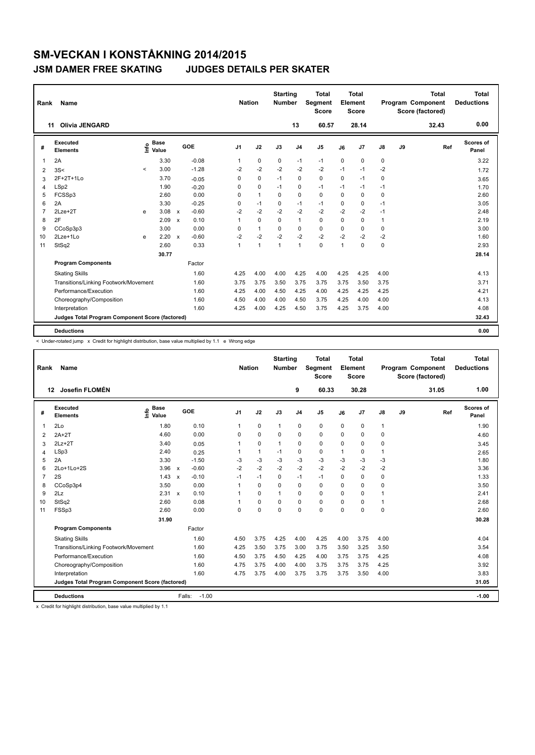| Rank           | <b>Name</b>                                     |         |                      |                           |         |                | <b>Nation</b> |              | <b>Starting</b><br><b>Number</b> |                | <b>Total</b><br>Segment<br><b>Score</b> |          | Total<br>Element<br><b>Score</b> |      |    | <b>Total</b><br>Program Component<br>Score (factored) | Total<br><b>Deductions</b> |
|----------------|-------------------------------------------------|---------|----------------------|---------------------------|---------|----------------|---------------|--------------|----------------------------------|----------------|-----------------------------------------|----------|----------------------------------|------|----|-------------------------------------------------------|----------------------------|
|                | <b>Olivia JENGARD</b><br>11                     |         |                      |                           |         |                |               |              |                                  | 13             | 60.57                                   |          | 28.14                            |      |    | 32.43                                                 | 0.00                       |
| #              | Executed<br><b>Elements</b>                     | ١nf٥    | <b>Base</b><br>Value |                           | GOE     | J <sub>1</sub> |               | J2           | J3                               | J <sub>4</sub> | J <sub>5</sub>                          | J6       | J7                               | J8   | J9 | Ref                                                   | Scores of<br>Panel         |
| $\mathbf{1}$   | 2A                                              |         | 3.30                 |                           | $-0.08$ | 1              |               | $\mathbf 0$  | $\mathbf 0$                      | $-1$           | $-1$                                    | 0        | 0                                | 0    |    |                                                       | 3.22                       |
| 2              | 3S<                                             | $\prec$ | 3.00                 |                           | $-1.28$ | $-2$           |               | $-2$         | -2                               | $-2$           | $-2$                                    | $-1$     | $-1$                             | $-2$ |    |                                                       | 1.72                       |
| 3              | 2F+2T+1Lo                                       |         | 3.70                 |                           | $-0.05$ | 0              |               | $\mathbf 0$  | $-1$                             | $\mathbf 0$    | $\mathbf 0$                             | $\Omega$ | $-1$                             | 0    |    |                                                       | 3.65                       |
| 4              | LSp2                                            |         | 1.90                 |                           | $-0.20$ | $\Omega$       |               | 0            | $-1$                             | 0              | $-1$                                    | $-1$     | $-1$                             | $-1$ |    |                                                       | 1.70                       |
| 5              | FCSSp3                                          |         | 2.60                 |                           | 0.00    | $\Omega$       |               | $\mathbf{1}$ | $\Omega$                         | 0              | 0                                       | $\Omega$ | 0                                | 0    |    |                                                       | 2.60                       |
| 6              | 2A                                              |         | 3.30                 |                           | $-0.25$ | 0              |               | $-1$         | $\mathbf 0$                      | $-1$           | $-1$                                    | 0        | 0                                | $-1$ |    |                                                       | 3.05                       |
| $\overline{7}$ | $2$ Lze $+2$ T                                  | e       | 3.08                 | $\mathsf{x}$              | $-0.60$ | $-2$           |               | $-2$         | $-2$                             | $-2$           | $-2$                                    | $-2$     | $-2$                             | $-1$ |    |                                                       | 2.48                       |
| 8              | 2F                                              |         | 2.09                 | $\boldsymbol{\mathsf{x}}$ | 0.10    | 1              |               | $\mathbf 0$  | $\Omega$                         | $\mathbf{1}$   | 0                                       | $\Omega$ | 0                                | 1    |    |                                                       | 2.19                       |
| 9              | CCoSp3p3                                        |         | 3.00                 |                           | 0.00    | 0              |               | $\mathbf{1}$ | 0                                | 0              | 0                                       | $\Omega$ | 0                                | 0    |    |                                                       | 3.00                       |
| 10             | 2Lze+1Lo                                        | e       | 2.20                 | $\boldsymbol{\mathsf{x}}$ | $-0.60$ | $-2$           |               | $-2$         | $-2$                             | $-2$           | $-2$                                    | $-2$     | $-2$                             | $-2$ |    |                                                       | 1.60                       |
| 11             | StSq2                                           |         | 2.60                 |                           | 0.33    | 1              |               | $\mathbf{1}$ | 1                                | $\mathbf{1}$   | $\mathbf 0$                             | 1        | 0                                | 0    |    |                                                       | 2.93                       |
|                |                                                 |         | 30.77                |                           |         |                |               |              |                                  |                |                                         |          |                                  |      |    |                                                       | 28.14                      |
|                | <b>Program Components</b>                       |         |                      |                           | Factor  |                |               |              |                                  |                |                                         |          |                                  |      |    |                                                       |                            |
|                | <b>Skating Skills</b>                           |         |                      |                           | 1.60    | 4.25           |               | 4.00         | 4.00                             | 4.25           | 4.00                                    | 4.25     | 4.25                             | 4.00 |    |                                                       | 4.13                       |
|                | Transitions/Linking Footwork/Movement           |         |                      |                           | 1.60    | 3.75           |               | 3.75         | 3.50                             | 3.75           | 3.75                                    | 3.75     | 3.50                             | 3.75 |    |                                                       | 3.71                       |
|                | Performance/Execution                           |         |                      |                           | 1.60    | 4.25           |               | 4.00         | 4.50                             | 4.25           | 4.00                                    | 4.25     | 4.25                             | 4.25 |    |                                                       | 4.21                       |
|                | Choreography/Composition                        |         |                      |                           | 1.60    | 4.50           |               | 4.00         | 4.00                             | 4.50           | 3.75                                    | 4.25     | 4.00                             | 4.00 |    |                                                       | 4.13                       |
|                | Interpretation                                  |         |                      |                           | 1.60    | 4.25           |               | 4.00         | 4.25                             | 4.50           | 3.75                                    | 4.25     | 3.75                             | 4.00 |    |                                                       | 4.08                       |
|                | Judges Total Program Component Score (factored) |         |                      |                           |         |                |               |              |                                  |                |                                         |          |                                  |      |    |                                                       | 32.43                      |
|                | <b>Deductions</b>                               |         |                      |                           |         |                |               |              |                                  |                |                                         |          |                                  |      |    |                                                       | 0.00                       |

< Under-rotated jump x Credit for highlight distribution, base value multiplied by 1.1 e Wrong edge

| Rank           | Name                                            |                                      |                           |         | <b>Nation</b>  |              | <b>Starting</b><br><b>Number</b> |                | <b>Total</b><br>Segment<br><b>Score</b> |              | <b>Total</b><br>Element<br><b>Score</b> |              |    | <b>Total</b><br><b>Program Component</b><br>Score (factored) | Total<br><b>Deductions</b> |
|----------------|-------------------------------------------------|--------------------------------------|---------------------------|---------|----------------|--------------|----------------------------------|----------------|-----------------------------------------|--------------|-----------------------------------------|--------------|----|--------------------------------------------------------------|----------------------------|
| 12             | Josefin FLOMÉN                                  |                                      |                           |         |                |              |                                  | 9              | 60.33                                   |              | 30.28                                   |              |    | 31.05                                                        | 1.00                       |
| #              | Executed<br><b>Elements</b>                     | $\frac{e}{E}$ Base<br>Malue<br>Value | GOE                       |         | J <sub>1</sub> | J2           | J3                               | J <sub>4</sub> | J <sub>5</sub>                          | J6           | J <sub>7</sub>                          | J8           | J9 | Ref                                                          | Scores of<br>Panel         |
| 1              | 2Lo                                             | 1.80                                 |                           | 0.10    | 1              | 0            | $\mathbf{1}$                     | 0              | 0                                       | $\mathbf 0$  | $\mathbf 0$                             | 1            |    |                                                              | 1.90                       |
| 2              | $2A+2T$                                         | 4.60                                 |                           | 0.00    | 0              | 0            | $\Omega$                         | 0              | 0                                       | $\Omega$     | $\mathbf 0$                             | 0            |    |                                                              | 4.60                       |
| 3              | $2Lz+2T$                                        | 3.40                                 |                           | 0.05    | 1              | 0            | $\mathbf{1}$                     | 0              | 0                                       | 0            | $\mathbf 0$                             | 0            |    |                                                              | 3.45                       |
| $\overline{4}$ | LSp3                                            | 2.40                                 |                           | 0.25    | 1              | $\mathbf{1}$ | $-1$                             | 0              | 0                                       | $\mathbf{1}$ | 0                                       | $\mathbf{1}$ |    |                                                              | 2.65                       |
| 5              | 2A                                              | 3.30                                 |                           | $-1.50$ | $-3$           | $-3$         | $-3$                             | $-3$           | $-3$                                    | $-3$         | $-3$                                    | $-3$         |    |                                                              | 1.80                       |
| 6              | 2Lo+1Lo+2S                                      | 3.96                                 | $\mathbf{x}$              | $-0.60$ | $-2$           | $-2$         | $-2$                             | $-2$           | $-2$                                    | $-2$         | $-2$                                    | $-2$         |    |                                                              | 3.36                       |
| $\overline{7}$ | 2S                                              | 1.43                                 | $\boldsymbol{\mathsf{x}}$ | $-0.10$ | $-1$           | $-1$         | $\Omega$                         | $-1$           | $-1$                                    | $\mathbf 0$  | $\pmb{0}$                               | $\pmb{0}$    |    |                                                              | 1.33                       |
| 8              | CCoSp3p4                                        | 3.50                                 |                           | 0.00    | 1              | $\Omega$     | $\Omega$                         | $\Omega$       | $\Omega$                                | $\Omega$     | $\mathbf 0$                             | 0            |    |                                                              | 3.50                       |
| 9              | 2Lz                                             | 2.31                                 | $\mathsf{x}$              | 0.10    |                | 0            | 1                                | 0              | 0                                       | 0            | $\mathbf 0$                             |              |    |                                                              | 2.41                       |
| 10             | StSq2                                           | 2.60                                 |                           | 0.08    |                | 0            | $\Omega$                         | 0              | 0                                       | $\Omega$     | 0                                       |              |    |                                                              | 2.68                       |
| 11             | FSSp3                                           | 2.60                                 |                           | 0.00    | 0              | 0            | 0                                | 0              | 0                                       | 0            | $\mathbf 0$                             | 0            |    |                                                              | 2.60                       |
|                |                                                 | 31.90                                |                           |         |                |              |                                  |                |                                         |              |                                         |              |    |                                                              | 30.28                      |
|                | <b>Program Components</b>                       |                                      |                           | Factor  |                |              |                                  |                |                                         |              |                                         |              |    |                                                              |                            |
|                | <b>Skating Skills</b>                           |                                      |                           | 1.60    | 4.50           | 3.75         | 4.25                             | 4.00           | 4.25                                    | 4.00         | 3.75                                    | 4.00         |    |                                                              | 4.04                       |
|                | Transitions/Linking Footwork/Movement           |                                      |                           | 1.60    | 4.25           | 3.50         | 3.75                             | 3.00           | 3.75                                    | 3.50         | 3.25                                    | 3.50         |    |                                                              | 3.54                       |
|                | Performance/Execution                           |                                      |                           | 1.60    | 4.50           | 3.75         | 4.50                             | 4.25           | 4.00                                    | 3.75         | 3.75                                    | 4.25         |    |                                                              | 4.08                       |
|                | Choreography/Composition                        |                                      |                           | 1.60    | 4.75           | 3.75         | 4.00                             | 4.00           | 3.75                                    | 3.75         | 3.75                                    | 4.25         |    |                                                              | 3.92                       |
|                | Interpretation                                  |                                      |                           | 1.60    | 4.75           | 3.75         | 4.00                             | 3.75           | 3.75                                    | 3.75         | 3.50                                    | 4.00         |    |                                                              | 3.83                       |
|                | Judges Total Program Component Score (factored) |                                      |                           |         |                |              |                                  |                |                                         |              |                                         |              |    |                                                              | 31.05                      |
|                | <b>Deductions</b>                               |                                      | Falls:                    | $-1.00$ |                |              |                                  |                |                                         |              |                                         |              |    |                                                              | $-1.00$                    |

x Credit for highlight distribution, base value multiplied by 1.1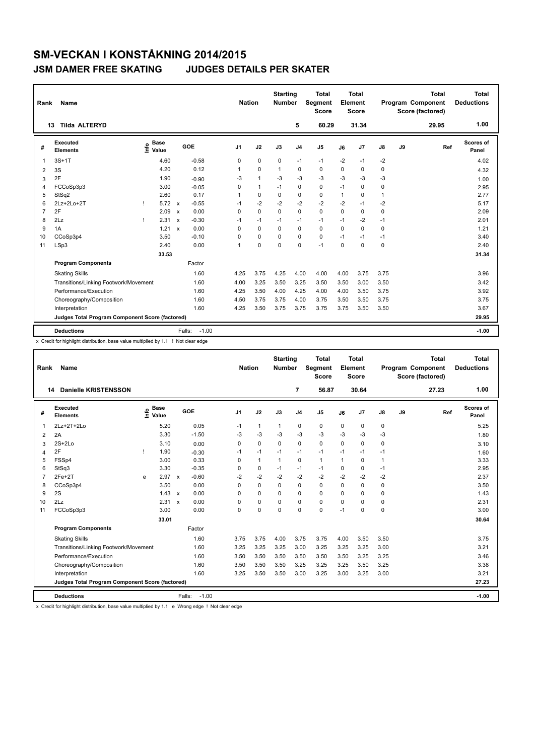| Rank           | Name                                            |      |                      |              |                   | <b>Nation</b>  |                | <b>Starting</b><br><b>Number</b> |                | Total<br>Segment<br><b>Score</b> |              | Total<br>Element<br><b>Score</b> |              |    | <b>Total</b><br>Program Component<br>Score (factored) | Total<br><b>Deductions</b> |
|----------------|-------------------------------------------------|------|----------------------|--------------|-------------------|----------------|----------------|----------------------------------|----------------|----------------------------------|--------------|----------------------------------|--------------|----|-------------------------------------------------------|----------------------------|
|                | <b>Tilda ALTERYD</b><br>13                      |      |                      |              |                   |                |                |                                  | 5              | 60.29                            |              | 31.34                            |              |    | 29.95                                                 | 1.00                       |
| #              | Executed<br><b>Elements</b>                     | lnfo | <b>Base</b><br>Value |              | GOE               | J <sub>1</sub> | J2             | J3                               | J <sub>4</sub> | J <sub>5</sub>                   | J6           | J7                               | J8           | J9 | Ref                                                   | Scores of<br>Panel         |
| 1              | $3S+1T$                                         |      | 4.60                 |              | $-0.58$           | 0              | $\mathbf 0$    | $\mathbf 0$                      | $-1$           | $-1$                             | $-2$         | $-1$                             | $-2$         |    |                                                       | 4.02                       |
| 2              | 3S                                              |      | 4.20                 |              | 0.12              | 1              | $\mathbf 0$    | $\mathbf 1$                      | $\mathbf 0$    | $\mathbf 0$                      | $\Omega$     | 0                                | 0            |    |                                                       | 4.32                       |
| 3              | 2F                                              |      | 1.90                 |              | $-0.90$           | $-3$           | $\overline{1}$ | $-3$                             | $-3$           | $-3$                             | $-3$         | $-3$                             | $-3$         |    |                                                       | 1.00                       |
| 4              | FCCoSp3p3                                       |      | 3.00                 |              | $-0.05$           | $\Omega$       | $\mathbf{1}$   | $-1$                             | $\mathbf 0$    | 0                                | $-1$         | $\Omega$                         | 0            |    |                                                       | 2.95                       |
| 5              | StSq2                                           |      | 2.60                 |              | 0.17              | 1              | $\mathbf 0$    | 0                                | 0              | 0                                | $\mathbf{1}$ | $\Omega$                         | $\mathbf{1}$ |    |                                                       | 2.77                       |
| 6              | 2Lz+2Lo+2T                                      |      | $5.72 \times$        |              | $-0.55$           | $-1$           | $-2$           | $-2$                             | $-2$           | $-2$                             | $-2$         | $-1$                             | $-2$         |    |                                                       | 5.17                       |
| $\overline{7}$ | 2F                                              |      | 2.09                 | $\mathsf{x}$ | 0.00              | 0              | $\mathbf 0$    | $\Omega$                         | $\mathbf 0$    | 0                                | $\Omega$     | 0                                | 0            |    |                                                       | 2.09                       |
| 8              | 2Lz                                             |      | 2.31                 | $\mathbf{x}$ | $-0.30$           | $-1$           | $-1$           | $-1$                             | $-1$           | $-1$                             | $-1$         | $-2$                             | $-1$         |    |                                                       | 2.01                       |
| 9              | 1A                                              |      | 1.21                 | $\mathbf{x}$ | 0.00              | 0              | $\Omega$       | $\Omega$                         | $\Omega$       | $\mathbf 0$                      | $\Omega$     | $\Omega$                         | 0            |    |                                                       | 1.21                       |
| 10             | CCoSp3p4                                        |      | 3.50                 |              | $-0.10$           | 0              | $\mathbf 0$    | $\Omega$                         | $\mathbf 0$    | $\mathbf 0$                      | $-1$         | $-1$                             | $-1$         |    |                                                       | 3.40                       |
| 11             | LSp3                                            |      | 2.40                 |              | 0.00              | 1              | $\mathbf 0$    | $\Omega$                         | $\mathbf 0$    | $-1$                             | $\Omega$     | $\Omega$                         | 0            |    |                                                       | 2.40                       |
|                |                                                 |      | 33.53                |              |                   |                |                |                                  |                |                                  |              |                                  |              |    |                                                       | 31.34                      |
|                | <b>Program Components</b>                       |      |                      |              | Factor            |                |                |                                  |                |                                  |              |                                  |              |    |                                                       |                            |
|                | <b>Skating Skills</b>                           |      |                      |              | 1.60              | 4.25           | 3.75           | 4.25                             | 4.00           | 4.00                             | 4.00         | 3.75                             | 3.75         |    |                                                       | 3.96                       |
|                | Transitions/Linking Footwork/Movement           |      |                      |              | 1.60              | 4.00           | 3.25           | 3.50                             | 3.25           | 3.50                             | 3.50         | 3.00                             | 3.50         |    |                                                       | 3.42                       |
|                | Performance/Execution                           |      |                      |              | 1.60              | 4.25           | 3.50           | 4.00                             | 4.25           | 4.00                             | 4.00         | 3.50                             | 3.75         |    |                                                       | 3.92                       |
|                | Choreography/Composition                        |      |                      |              | 1.60              | 4.50           | 3.75           | 3.75                             | 4.00           | 3.75                             | 3.50         | 3.50                             | 3.75         |    |                                                       | 3.75                       |
|                | Interpretation                                  |      |                      |              | 1.60              | 4.25           | 3.50           | 3.75                             | 3.75           | 3.75                             | 3.75         | 3.50                             | 3.50         |    |                                                       | 3.67                       |
|                | Judges Total Program Component Score (factored) |      |                      |              |                   |                |                |                                  |                |                                  |              |                                  |              |    |                                                       | 29.95                      |
|                | <b>Deductions</b>                               |      |                      |              | $-1.00$<br>Falls: |                |                |                                  |                |                                  |              |                                  |              |    |                                                       | $-1.00$                    |

x Credit for highlight distribution, base value multiplied by 1.1 ! Not clear edge

| Rank           | Name                                            |      |                      |              |                   | <b>Nation</b> |              | <b>Starting</b><br><b>Number</b> |                | Total<br>Segment<br><b>Score</b> |              | <b>Total</b><br>Element<br><b>Score</b> |              |    | <b>Total</b><br>Program Component<br>Score (factored) |     | <b>Total</b><br><b>Deductions</b> |
|----------------|-------------------------------------------------|------|----------------------|--------------|-------------------|---------------|--------------|----------------------------------|----------------|----------------------------------|--------------|-----------------------------------------|--------------|----|-------------------------------------------------------|-----|-----------------------------------|
| 14             | <b>Danielle KRISTENSSON</b>                     |      |                      |              |                   |               |              |                                  | $\overline{7}$ | 56.87                            |              | 30.64                                   |              |    | 27.23                                                 |     | 1.00                              |
| #              | <b>Executed</b><br><b>Elements</b>              | lnfo | <b>Base</b><br>Value |              | GOE               | J1            | J2           | J3                               | J <sub>4</sub> | J <sub>5</sub>                   | J6           | J7                                      | J8           | J9 |                                                       | Ref | Scores of<br>Panel                |
| 1              | $2Lz+2T+2Lo$                                    |      | 5.20                 |              | 0.05              | $-1$          | $\mathbf{1}$ | 1                                | $\mathbf 0$    | 0                                | 0            | $\pmb{0}$                               | 0            |    |                                                       |     | 5.25                              |
| 2              | 2A                                              |      | 3.30                 |              | $-1.50$           | -3            | $-3$         | $-3$                             | $-3$           | $-3$                             | $-3$         | $-3$                                    | $-3$         |    |                                                       |     | 1.80                              |
| 3              | $2S+2Lo$                                        |      | 3.10                 |              | 0.00              | 0             | 0            | 0                                | 0              | 0                                | 0            | 0                                       | 0            |    |                                                       |     | 3.10                              |
| 4              | 2F                                              | L    | 1.90                 |              | $-0.30$           | $-1$          | $-1$         | $-1$                             | $-1$           | $-1$                             | $-1$         | $-1$                                    | $-1$         |    |                                                       |     | 1.60                              |
| 5              | FSSp4                                           |      | 3.00                 |              | 0.33              | 0             | $\mathbf{1}$ | $\mathbf{1}$                     | 0              | $\mathbf{1}$                     | $\mathbf{1}$ | 0                                       | $\mathbf{1}$ |    |                                                       |     | 3.33                              |
| 6              | StSq3                                           |      | 3.30                 |              | $-0.35$           | $\Omega$      | 0            | $-1$                             | $-1$           | $-1$                             | $\Omega$     | $\mathbf 0$                             | $-1$         |    |                                                       |     | 2.95                              |
| $\overline{7}$ | $2Fe+2T$                                        | e    | 2.97                 | $\mathsf{x}$ | $-0.60$           | $-2$          | $-2$         | $-2$                             | $-2$           | $-2$                             | $-2$         | $-2$                                    | $-2$         |    |                                                       |     | 2.37                              |
| 8              | CCoSp3p4                                        |      | 3.50                 |              | 0.00              | 0             | 0            | 0                                | 0              | 0                                | $\Omega$     | $\mathbf 0$                             | 0            |    |                                                       |     | 3.50                              |
| 9              | 2S                                              |      | 1.43                 | $\mathsf{x}$ | 0.00              | $\Omega$      | $\Omega$     | $\Omega$                         | 0              | 0                                | $\Omega$     | 0                                       | 0            |    |                                                       |     | 1.43                              |
| 10             | 2Lz                                             |      | 2.31                 | $\mathsf{x}$ | 0.00              | 0             | 0            | 0                                | 0              | 0                                | 0            | 0                                       | 0            |    |                                                       |     | 2.31                              |
| 11             | FCCoSp3p3                                       |      | 3.00                 |              | 0.00              | $\Omega$      | $\mathbf 0$  | $\Omega$                         | 0              | 0                                | $-1$         | 0                                       | 0            |    |                                                       |     | 3.00                              |
|                |                                                 |      | 33.01                |              |                   |               |              |                                  |                |                                  |              |                                         |              |    |                                                       |     | 30.64                             |
|                | <b>Program Components</b>                       |      |                      |              | Factor            |               |              |                                  |                |                                  |              |                                         |              |    |                                                       |     |                                   |
|                | <b>Skating Skills</b>                           |      |                      |              | 1.60              | 3.75          | 3.75         | 4.00                             | 3.75           | 3.75                             | 4.00         | 3.50                                    | 3.50         |    |                                                       |     | 3.75                              |
|                | Transitions/Linking Footwork/Movement           |      |                      |              | 1.60              | 3.25          | 3.25         | 3.25                             | 3.00           | 3.25                             | 3.25         | 3.25                                    | 3.00         |    |                                                       |     | 3.21                              |
|                | Performance/Execution                           |      |                      |              | 1.60              | 3.50          | 3.50         | 3.50                             | 3.50           | 3.50                             | 3.50         | 3.25                                    | 3.25         |    |                                                       |     | 3.46                              |
|                | Choreography/Composition                        |      |                      |              | 1.60              | 3.50          | 3.50         | 3.50                             | 3.25           | 3.25                             | 3.25         | 3.50                                    | 3.25         |    |                                                       |     | 3.38                              |
|                | Interpretation                                  |      |                      |              | 1.60              | 3.25          | 3.50         | 3.50                             | 3.00           | 3.25                             | 3.00         | 3.25                                    | 3.00         |    |                                                       |     | 3.21                              |
|                | Judges Total Program Component Score (factored) |      |                      |              |                   |               |              |                                  |                |                                  |              |                                         |              |    |                                                       |     | 27.23                             |
|                | <b>Deductions</b>                               |      |                      |              | $-1.00$<br>Falls: |               |              |                                  |                |                                  |              |                                         |              |    |                                                       |     | $-1.00$                           |

x Credit for highlight distribution, base value multiplied by 1.1 e Wrong edge ! Not clear edge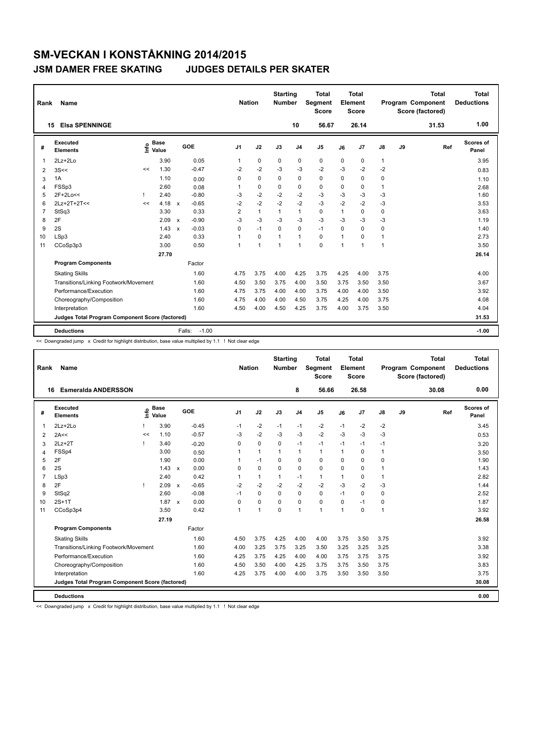| Rank           | Name                                            |      |                      |                           |                   | <b>Nation</b>  |                | <b>Starting</b><br><b>Number</b> |                | <b>Total</b><br><b>Segment</b><br><b>Score</b> |                | Total<br>Element<br>Score |              |    | <b>Total</b><br>Program Component<br>Score (factored) | Total<br><b>Deductions</b> |
|----------------|-------------------------------------------------|------|----------------------|---------------------------|-------------------|----------------|----------------|----------------------------------|----------------|------------------------------------------------|----------------|---------------------------|--------------|----|-------------------------------------------------------|----------------------------|
|                | <b>Elsa SPENNINGE</b><br>15                     |      |                      |                           |                   |                |                |                                  | 10             | 56.67                                          |                | 26.14                     |              |    | 31.53                                                 | 1.00                       |
| #              | Executed<br><b>Elements</b>                     | lnfo | <b>Base</b><br>Value |                           | GOE               | J <sub>1</sub> | J2             | J3                               | J <sub>4</sub> | J <sub>5</sub>                                 | J6             | J7                        | J8           | J9 | Ref                                                   | Scores of<br>Panel         |
| $\mathbf 1$    | $2Lz + 2Lo$                                     |      | 3.90                 |                           | 0.05              | 1              | $\mathbf 0$    | $\mathbf 0$                      | $\mathbf 0$    | $\mathbf 0$                                    | 0              | 0                         | $\mathbf{1}$ |    |                                                       | 3.95                       |
| 2              | 3S <                                            | <<   | 1.30                 |                           | $-0.47$           | $-2$           | $-2$           | -3                               | -3             | $-2$                                           | -3             | $-2$                      | $-2$         |    |                                                       | 0.83                       |
| 3              | 1A                                              |      | 1.10                 |                           | 0.00              | 0              | $\mathbf 0$    | 0                                | $\mathbf 0$    | $\mathbf 0$                                    | 0              | 0                         | 0            |    |                                                       | 1.10                       |
| $\overline{4}$ | FSSp3                                           |      | 2.60                 |                           | 0.08              | 1              | $\mathbf 0$    | $\mathbf 0$                      | $\mathbf 0$    | $\mathbf 0$                                    | 0              | 0                         | 1            |    |                                                       | 2.68                       |
| 5              | 2F+2Lo<<                                        |      | 2.40                 |                           | $-0.80$           | -3             | $-2$           | $-2$                             | $-2$           | $-3$                                           | $-3$           | $-3$                      | $-3$         |    |                                                       | 1.60                       |
| 6              | 2Lz+2T+2T<<                                     | <<   | 4.18                 | $\mathsf{x}$              | $-0.65$           | $-2$           | $-2$           | $-2$                             | $-2$           | $-3$                                           | $-2$           | $-2$                      | $-3$         |    |                                                       | 3.53                       |
| $\overline{7}$ | StSq3                                           |      | 3.30                 |                           | 0.33              | $\overline{2}$ | $\mathbf{1}$   | $\mathbf{1}$                     | $\mathbf{1}$   | $\Omega$                                       | 1              | $\Omega$                  | 0            |    |                                                       | 3.63                       |
| 8              | 2F                                              |      | 2.09                 | $\boldsymbol{\mathsf{x}}$ | $-0.90$           | $-3$           | $-3$           | $-3$                             | $-3$           | $-3$                                           | $-3$           | $-3$                      | $-3$         |    |                                                       | 1.19                       |
| 9              | 2S                                              |      | 1.43                 | $\boldsymbol{\mathsf{x}}$ | $-0.03$           | $\Omega$       | $-1$           | $\Omega$                         | $\mathbf 0$    | $-1$                                           | $\Omega$       | $\Omega$                  | 0            |    |                                                       | 1.40                       |
| 10             | LSp3                                            |      | 2.40                 |                           | 0.33              | 1              | $\mathbf 0$    | $\mathbf{1}$                     | $\mathbf{1}$   | $\mathbf 0$                                    | 1              | 0                         | $\mathbf{1}$ |    |                                                       | 2.73                       |
| 11             | CCoSp3p3                                        |      | 3.00                 |                           | 0.50              | 1              | $\overline{1}$ | 1                                | $\overline{1}$ | $\Omega$                                       | $\overline{1}$ | $\blacktriangleleft$      | 1            |    |                                                       | 3.50                       |
|                |                                                 |      | 27.70                |                           |                   |                |                |                                  |                |                                                |                |                           |              |    |                                                       | 26.14                      |
|                | <b>Program Components</b>                       |      |                      |                           | Factor            |                |                |                                  |                |                                                |                |                           |              |    |                                                       |                            |
|                | <b>Skating Skills</b>                           |      |                      |                           | 1.60              | 4.75           | 3.75           | 4.00                             | 4.25           | 3.75                                           | 4.25           | 4.00                      | 3.75         |    |                                                       | 4.00                       |
|                | Transitions/Linking Footwork/Movement           |      |                      |                           | 1.60              | 4.50           | 3.50           | 3.75                             | 4.00           | 3.50                                           | 3.75           | 3.50                      | 3.50         |    |                                                       | 3.67                       |
|                | Performance/Execution                           |      |                      |                           | 1.60              | 4.75           | 3.75           | 4.00                             | 4.00           | 3.75                                           | 4.00           | 4.00                      | 3.50         |    |                                                       | 3.92                       |
|                | Choreography/Composition                        |      |                      |                           | 1.60              | 4.75           | 4.00           | 4.00                             | 4.50           | 3.75                                           | 4.25           | 4.00                      | 3.75         |    |                                                       | 4.08                       |
|                | Interpretation                                  |      |                      |                           | 1.60              | 4.50           | 4.00           | 4.50                             | 4.25           | 3.75                                           | 4.00           | 3.75                      | 3.50         |    |                                                       | 4.04                       |
|                | Judges Total Program Component Score (factored) |      |                      |                           |                   |                |                |                                  |                |                                                |                |                           |              |    |                                                       | 31.53                      |
|                | <b>Deductions</b>                               |      |                      |                           | $-1.00$<br>Falls: |                |                |                                  |                |                                                |                |                           |              |    |                                                       | $-1.00$                    |

<< Downgraded jump x Credit for highlight distribution, base value multiplied by 1.1 ! Not clear edge

| Rank           | Name                                            |      |                      |                           |         | <b>Nation</b>  |                | <b>Starting</b><br><b>Number</b> |                | <b>Total</b><br>Segment<br><b>Score</b> |          | <b>Total</b><br>Element<br>Score |      |    | <b>Total</b><br>Program Component<br>Score (factored) |     | <b>Total</b><br><b>Deductions</b> |
|----------------|-------------------------------------------------|------|----------------------|---------------------------|---------|----------------|----------------|----------------------------------|----------------|-----------------------------------------|----------|----------------------------------|------|----|-------------------------------------------------------|-----|-----------------------------------|
|                | <b>Esmeralda ANDERSSON</b><br>16                |      |                      |                           |         |                |                |                                  | 8              | 56.66                                   |          | 26.58                            |      |    | 30.08                                                 |     | 0.00                              |
| #              | Executed<br><b>Elements</b>                     | lnfo | <b>Base</b><br>Value |                           | GOE     | J <sub>1</sub> | J2             | J3                               | J <sub>4</sub> | J <sub>5</sub>                          | J6       | J7                               | J8   | J9 |                                                       | Ref | Scores of<br>Panel                |
| $\mathbf 1$    | $2Lz + 2Lo$                                     |      | 3.90                 |                           | $-0.45$ | $-1$           | $-2$           | $-1$                             | $-1$           | $-2$                                    | $-1$     | $-2$                             | $-2$ |    |                                                       |     | 3.45                              |
| 2              | 2A<<                                            | <<   | 1.10                 |                           | $-0.57$ | -3             | $-2$           | -3                               | $-3$           | $-2$                                    | -3       | $-3$                             | $-3$ |    |                                                       |     | 0.53                              |
| 3              | $2Lz+2T$                                        |      | 3.40                 |                           | $-0.20$ | 0              | 0              | 0                                | $-1$           | $-1$                                    | $-1$     | $-1$                             | $-1$ |    |                                                       |     | 3.20                              |
| 4              | FSSp4                                           |      | 3.00                 |                           | 0.50    | 1              | $\mathbf{1}$   | $\mathbf 1$                      | $\mathbf{1}$   | $\mathbf{1}$                            | 1        | $\pmb{0}$                        |      |    |                                                       |     | 3.50                              |
| 5              | 2F                                              |      | 1.90                 |                           | 0.00    |                | $-1$           | 0                                | 0              | 0                                       | 0        | $\mathbf 0$                      | 0    |    |                                                       |     | 1.90                              |
| 6              | 2S                                              |      | $1.43 \times$        |                           | 0.00    | 0              | 0              | 0                                | 0              | 0                                       | 0        | 0                                |      |    |                                                       |     | 1.43                              |
| $\overline{7}$ | LSp3                                            |      | 2.40                 |                           | 0.42    | 1              | $\mathbf{1}$   |                                  | $-1$           | $\mathbf{1}$                            | 1        | $\mathbf 0$                      |      |    |                                                       |     | 2.82                              |
| 8              | 2F                                              |      | 2.09                 | $\boldsymbol{\mathsf{x}}$ | $-0.65$ | $-2$           | $-2$           | $-2$                             | $-2$           | $-2$                                    | $-3$     | $-2$                             | $-3$ |    |                                                       |     | 1.44                              |
| 9              | StSq2                                           |      | 2.60                 |                           | $-0.08$ | $-1$           | 0              | $\Omega$                         | 0              | 0                                       | $-1$     | $\mathbf 0$                      | 0    |    |                                                       |     | 2.52                              |
| 10             | $2S+1T$                                         |      | 1.87                 | $\mathsf{x}$              | 0.00    | 0              | 0              | $\Omega$                         | $\mathbf 0$    | 0                                       | $\Omega$ | $-1$                             | 0    |    |                                                       |     | 1.87                              |
| 11             | CCoSp3p4                                        |      | 3.50                 |                           | 0.42    | 1              | $\overline{1}$ | 0                                | 1              | 1                                       | 1        | $\mathbf 0$                      |      |    |                                                       |     | 3.92                              |
|                |                                                 |      | 27.19                |                           |         |                |                |                                  |                |                                         |          |                                  |      |    |                                                       |     | 26.58                             |
|                | <b>Program Components</b>                       |      |                      |                           | Factor  |                |                |                                  |                |                                         |          |                                  |      |    |                                                       |     |                                   |
|                | <b>Skating Skills</b>                           |      |                      |                           | 1.60    | 4.50           | 3.75           | 4.25                             | 4.00           | 4.00                                    | 3.75     | 3.50                             | 3.75 |    |                                                       |     | 3.92                              |
|                | Transitions/Linking Footwork/Movement           |      |                      |                           | 1.60    | 4.00           | 3.25           | 3.75                             | 3.25           | 3.50                                    | 3.25     | 3.25                             | 3.25 |    |                                                       |     | 3.38                              |
|                | Performance/Execution                           |      |                      |                           | 1.60    | 4.25           | 3.75           | 4.25                             | 4.00           | 4.00                                    | 3.75     | 3.75                             | 3.75 |    |                                                       |     | 3.92                              |
|                | Choreography/Composition                        |      |                      |                           | 1.60    | 4.50           | 3.50           | 4.00                             | 4.25           | 3.75                                    | 3.75     | 3.50                             | 3.75 |    |                                                       |     | 3.83                              |
|                | Interpretation                                  |      |                      |                           | 1.60    | 4.25           | 3.75           | 4.00                             | 4.00           | 3.75                                    | 3.50     | 3.50                             | 3.50 |    |                                                       |     | 3.75                              |
|                | Judges Total Program Component Score (factored) |      |                      |                           |         |                |                |                                  |                |                                         |          |                                  |      |    |                                                       |     | 30.08                             |
|                | <b>Deductions</b>                               |      |                      |                           |         |                |                |                                  |                |                                         |          |                                  |      |    |                                                       |     | 0.00                              |

<< Downgraded jump x Credit for highlight distribution, base value multiplied by 1.1 ! Not clear edge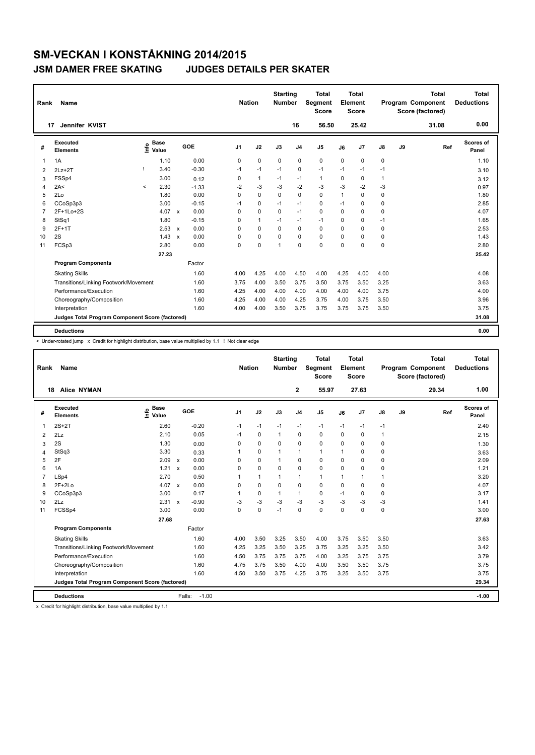| Rank           | <b>Name</b>                                     |         |                      |                           |         | <b>Nation</b>  |              | <b>Starting</b><br><b>Number</b> |                | <b>Total</b><br><b>Segment</b><br><b>Score</b> |              | <b>Total</b><br>Element<br>Score |              |    | <b>Total</b><br>Program Component<br>Score (factored) | <b>Total</b><br><b>Deductions</b> |
|----------------|-------------------------------------------------|---------|----------------------|---------------------------|---------|----------------|--------------|----------------------------------|----------------|------------------------------------------------|--------------|----------------------------------|--------------|----|-------------------------------------------------------|-----------------------------------|
| 17             | Jennifer KVIST                                  |         |                      |                           |         |                |              |                                  | 16             | 56.50                                          |              | 25.42                            |              |    | 31.08                                                 | 0.00                              |
| #              | Executed<br><b>Elements</b>                     | ١nf٥    | <b>Base</b><br>Value |                           | GOE     | J <sub>1</sub> | J2           | J3                               | J <sub>4</sub> | J <sub>5</sub>                                 | J6           | J7                               | J8           | J9 | Ref                                                   | <b>Scores of</b><br>Panel         |
| $\overline{1}$ | 1A                                              |         | 1.10                 |                           | 0.00    | 0              | $\mathbf 0$  | $\mathbf 0$                      | $\mathbf 0$    | $\mathbf 0$                                    | 0            | 0                                | 0            |    |                                                       | 1.10                              |
| 2              | $2Lz+2T$                                        |         | 3.40                 |                           | $-0.30$ | $-1$           | $-1$         | $-1$                             | 0              | $-1$                                           | $-1$         | $-1$                             | $-1$         |    |                                                       | 3.10                              |
| 3              | FSSp4                                           |         | 3.00                 |                           | 0.12    | 0              | $\mathbf{1}$ | $-1$                             | $-1$           | $\mathbf{1}$                                   | 0            | 0                                | $\mathbf{1}$ |    |                                                       | 3.12                              |
| $\overline{4}$ | 2A<                                             | $\prec$ | 2.30                 |                           | $-1.33$ | $-2$           | $-3$         | -3                               | $-2$           | $-3$                                           | $-3$         | $-2$                             | $-3$         |    |                                                       | 0.97                              |
| 5              | 2Lo                                             |         | 1.80                 |                           | 0.00    | 0              | $\mathbf 0$  | 0                                | $\mathbf 0$    | 0                                              | $\mathbf{1}$ | 0                                | 0            |    |                                                       | 1.80                              |
| 6              | CCoSp3p3                                        |         | 3.00                 |                           | $-0.15$ | -1             | $\mathbf 0$  | $-1$                             | $-1$           | $\Omega$                                       | $-1$         | 0                                | 0            |    |                                                       | 2.85                              |
| $\overline{7}$ | 2F+1Lo+2S                                       |         | 4.07                 | $\mathsf{x}$              | 0.00    | 0              | $\mathbf 0$  | $\mathbf 0$                      | $-1$           | $\mathbf 0$                                    | $\Omega$     | 0                                | 0            |    |                                                       | 4.07                              |
| 8              | StSq1                                           |         | 1.80                 |                           | $-0.15$ | 0              | $\mathbf{1}$ | $-1$                             | $-1$           | $-1$                                           | $\Omega$     | 0                                | $-1$         |    |                                                       | 1.65                              |
| 9              | $2F+1T$                                         |         | 2.53                 | $\mathsf{x}$              | 0.00    | 0              | $\mathbf 0$  | 0                                | $\mathbf 0$    | $\mathbf 0$                                    | $\Omega$     | 0                                | 0            |    |                                                       | 2.53                              |
| 10             | 2S                                              |         | 1.43                 | $\boldsymbol{\mathsf{x}}$ | 0.00    | $\Omega$       | $\mathbf 0$  | $\Omega$                         | $\mathbf 0$    | $\Omega$                                       | $\Omega$     | 0                                | 0            |    |                                                       | 1.43                              |
| 11             | FCSp3                                           |         | 2.80                 |                           | 0.00    | 0              | $\mathbf 0$  | 1                                | $\mathbf 0$    | $\mathbf 0$                                    | 0            | 0                                | 0            |    |                                                       | 2.80                              |
|                |                                                 |         | 27.23                |                           |         |                |              |                                  |                |                                                |              |                                  |              |    |                                                       | 25.42                             |
|                | <b>Program Components</b>                       |         |                      |                           | Factor  |                |              |                                  |                |                                                |              |                                  |              |    |                                                       |                                   |
|                | <b>Skating Skills</b>                           |         |                      |                           | 1.60    | 4.00           | 4.25         | 4.00                             | 4.50           | 4.00                                           | 4.25         | 4.00                             | 4.00         |    |                                                       | 4.08                              |
|                | Transitions/Linking Footwork/Movement           |         |                      |                           | 1.60    | 3.75           | 4.00         | 3.50                             | 3.75           | 3.50                                           | 3.75         | 3.50                             | 3.25         |    |                                                       | 3.63                              |
|                | Performance/Execution                           |         |                      |                           | 1.60    | 4.25           | 4.00         | 4.00                             | 4.00           | 4.00                                           | 4.00         | 4.00                             | 3.75         |    |                                                       | 4.00                              |
|                | Choreography/Composition                        |         |                      |                           | 1.60    | 4.25           | 4.00         | 4.00                             | 4.25           | 3.75                                           | 4.00         | 3.75                             | 3.50         |    |                                                       | 3.96                              |
|                | Interpretation                                  |         |                      |                           | 1.60    | 4.00           | 4.00         | 3.50                             | 3.75           | 3.75                                           | 3.75         | 3.75                             | 3.50         |    |                                                       | 3.75                              |
|                | Judges Total Program Component Score (factored) |         |                      |                           |         |                |              |                                  |                |                                                |              |                                  |              |    |                                                       | 31.08                             |
|                | <b>Deductions</b>                               |         |                      |                           |         |                |              |                                  |                |                                                |              |                                  |              |    |                                                       | 0.00                              |

< Under-rotated jump x Credit for highlight distribution, base value multiplied by 1.1 ! Not clear edge

| Rank           | Name                                            |                              |                         |         | <b>Nation</b>  |              | <b>Starting</b><br><b>Number</b> |                | <b>Total</b><br>Segment<br><b>Score</b> |             | <b>Total</b><br>Element<br><b>Score</b> |               |    | <b>Total</b><br>Program Component<br>Score (factored) | <b>Total</b><br><b>Deductions</b> |
|----------------|-------------------------------------------------|------------------------------|-------------------------|---------|----------------|--------------|----------------------------------|----------------|-----------------------------------------|-------------|-----------------------------------------|---------------|----|-------------------------------------------------------|-----------------------------------|
| 18             | <b>Alice NYMAN</b>                              |                              |                         |         |                |              |                                  | $\mathbf{2}$   | 55.97                                   |             | 27.63                                   |               |    | 29.34                                                 | 1.00                              |
| #              | Executed<br><b>Elements</b>                     | <b>Base</b><br>lnfo<br>Value | GOE                     |         | J <sub>1</sub> | J2           | J3                               | J <sub>4</sub> | J <sub>5</sub>                          | J6          | J <sub>7</sub>                          | $\mathsf{J}8$ | J9 | Ref                                                   | Scores of<br>Panel                |
| 1              | $2S+2T$                                         | 2.60                         | $-0.20$                 |         | $-1$           | $-1$         | $-1$                             | $-1$           | $-1$                                    | $-1$        | $-1$                                    | $-1$          |    |                                                       | 2.40                              |
| 2              | 2Lz                                             | 2.10                         |                         | 0.05    | $-1$           | 0            | 1                                | 0              | 0                                       | $\Omega$    | 0                                       | $\mathbf{1}$  |    |                                                       | 2.15                              |
| 3              | 2S                                              | 1.30                         |                         | 0.00    | 0              | 0            | 0                                | 0              | 0                                       | 0           | 0                                       | 0             |    |                                                       | 1.30                              |
| 4              | StSq3                                           | 3.30                         |                         | 0.33    | 1              | 0            | $\mathbf 1$                      | $\mathbf{1}$   | $\mathbf{1}$                            | 1           | $\mathbf 0$                             | 0             |    |                                                       | 3.63                              |
| 5              | 2F                                              | 2.09                         | 0.00<br>$\mathsf{x}$    |         | $\Omega$       | 0            | 1                                | 0              | 0                                       | $\Omega$    | $\mathbf 0$                             | 0             |    |                                                       | 2.09                              |
| 6              | 1A                                              | 1.21                         | $\mathsf{x}$            | 0.00    | $\Omega$       | $\mathbf 0$  | $\Omega$                         | 0              | 0                                       | $\Omega$    | $\mathbf 0$                             | 0             |    |                                                       | 1.21                              |
| $\overline{7}$ | LSp4                                            | 2.70                         |                         | 0.50    | 1              | $\mathbf{1}$ |                                  | 1              | $\mathbf{1}$                            | 1           | $\mathbf{1}$                            |               |    |                                                       | 3.20                              |
| 8              | $2F+2Lo$                                        | 4.07                         | $\mathsf{x}$            | 0.00    | $\Omega$       | $\mathbf 0$  | $\Omega$                         | 0              | $\Omega$                                | $\Omega$    | $\mathbf 0$                             | 0             |    |                                                       | 4.07                              |
| 9              | CCoSp3p3                                        | 3.00                         | 0.17                    |         | 1              | 0            | 1                                | $\mathbf{1}$   | 0                                       | $-1$        | $\mathbf 0$                             | 0             |    |                                                       | 3.17                              |
| 10             | 2Lz                                             | 2.31                         | $-0.90$<br>$\mathsf{x}$ |         | $-3$           | $-3$         | $-3$                             | $-3$           | $-3$                                    | $-3$        | $-3$                                    | $-3$          |    |                                                       | 1.41                              |
| 11             | FCSSp4                                          | 3.00                         | 0.00                    |         | 0              | $\mathbf 0$  | $-1$                             | 0              | 0                                       | $\mathbf 0$ | $\mathbf 0$                             | 0             |    |                                                       | 3.00                              |
|                |                                                 | 27.68                        |                         |         |                |              |                                  |                |                                         |             |                                         |               |    |                                                       | 27.63                             |
|                | <b>Program Components</b>                       |                              | Factor                  |         |                |              |                                  |                |                                         |             |                                         |               |    |                                                       |                                   |
|                | <b>Skating Skills</b>                           |                              |                         | 1.60    | 4.00           | 3.50         | 3.25                             | 3.50           | 4.00                                    | 3.75        | 3.50                                    | 3.50          |    |                                                       | 3.63                              |
|                | Transitions/Linking Footwork/Movement           |                              |                         | 1.60    | 4.25           | 3.25         | 3.50                             | 3.25           | 3.75                                    | 3.25        | 3.25                                    | 3.50          |    |                                                       | 3.42                              |
|                | Performance/Execution                           |                              |                         | 1.60    | 4.50           | 3.75         | 3.75                             | 3.75           | 4.00                                    | 3.25        | 3.75                                    | 3.75          |    |                                                       | 3.79                              |
|                | Choreography/Composition                        |                              |                         | 1.60    | 4.75           | 3.75         | 3.50                             | 4.00           | 4.00                                    | 3.50        | 3.50                                    | 3.75          |    |                                                       | 3.75                              |
|                | Interpretation                                  |                              |                         | 1.60    | 4.50           | 3.50         | 3.75                             | 4.25           | 3.75                                    | 3.25        | 3.50                                    | 3.75          |    |                                                       | 3.75                              |
|                | Judges Total Program Component Score (factored) |                              |                         |         |                |              |                                  |                |                                         |             |                                         |               |    |                                                       | 29.34                             |
|                | <b>Deductions</b>                               |                              | Falls:                  | $-1.00$ |                |              |                                  |                |                                         |             |                                         |               |    |                                                       | $-1.00$                           |

x Credit for highlight distribution, base value multiplied by 1.1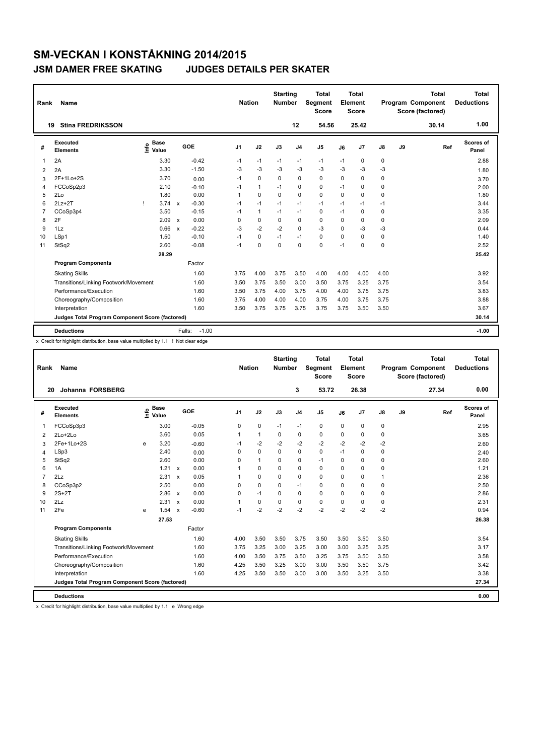| Rank           | Name                                            |   |                      |                           |         |                | <b>Nation</b> | <b>Starting</b><br><b>Number</b> |                | Total<br><b>Segment</b><br><b>Score</b> |          | <b>Total</b><br>Element<br><b>Score</b> |      |    | <b>Total</b><br>Program Component<br>Score (factored) | Total<br><b>Deductions</b> |
|----------------|-------------------------------------------------|---|----------------------|---------------------------|---------|----------------|---------------|----------------------------------|----------------|-----------------------------------------|----------|-----------------------------------------|------|----|-------------------------------------------------------|----------------------------|
|                | <b>Stina FREDRIKSSON</b><br>19                  |   |                      |                           |         |                |               |                                  | 12             | 54.56                                   |          | 25.42                                   |      |    | 30.14                                                 | 1.00                       |
| #              | Executed<br><b>Elements</b>                     | e | <b>Base</b><br>Value |                           | GOE     | J <sub>1</sub> | J2            | J3                               | J <sub>4</sub> | J <sub>5</sub>                          | J6       | J7                                      | J8   | J9 | Ref                                                   | <b>Scores of</b><br>Panel  |
| 1              | 2A                                              |   | 3.30                 |                           | $-0.42$ | $-1$           | $-1$          | $-1$                             | $-1$           | $-1$                                    | $-1$     | 0                                       | 0    |    |                                                       | 2.88                       |
| 2              | 2A                                              |   | 3.30                 |                           | $-1.50$ | $-3$           | $-3$          | $-3$                             | $-3$           | $-3$                                    | $-3$     | $-3$                                    | $-3$ |    |                                                       | 1.80                       |
| 3              | 2F+1Lo+2S                                       |   | 3.70                 |                           | 0.00    | $-1$           | $\mathbf 0$   | $\Omega$                         | $\mathbf 0$    | $\mathbf 0$                             | $\Omega$ | 0                                       | 0    |    |                                                       | 3.70                       |
| 4              | FCCoSp2p3                                       |   | 2.10                 |                           | $-0.10$ | $-1$           | $\mathbf{1}$  | $-1$                             | 0              | $\mathbf 0$                             | $-1$     | $\Omega$                                | 0    |    |                                                       | 2.00                       |
| 5              | 2Lo                                             |   | 1.80                 |                           | 0.00    | 1              | $\mathbf 0$   | $\mathbf 0$                      | $\mathbf 0$    | $\mathbf 0$                             | 0        | 0                                       | 0    |    |                                                       | 1.80                       |
| 6              | $2Lz+2T$                                        |   | 3.74                 | $\mathbf{x}$              | $-0.30$ | $-1$           | $-1$          | $-1$                             | $-1$           | $-1$                                    | $-1$     | $-1$                                    | $-1$ |    |                                                       | 3.44                       |
| $\overline{7}$ | CCoSp3p4                                        |   | 3.50                 |                           | $-0.15$ | $-1$           | $\mathbf{1}$  | $-1$                             | $-1$           | 0                                       | $-1$     | 0                                       | 0    |    |                                                       | 3.35                       |
| 8              | 2F                                              |   | 2.09                 | $\mathbf{x}$              | 0.00    | 0              | $\Omega$      | $\Omega$                         | $\mathbf 0$    | $\Omega$                                | $\Omega$ | 0                                       | 0    |    |                                                       | 2.09                       |
| 9              | 1Lz                                             |   | 0.66                 | $\boldsymbol{\mathsf{x}}$ | $-0.22$ | $-3$           | $-2$          | $-2$                             | $\mathbf 0$    | $-3$                                    | 0        | $-3$                                    | $-3$ |    |                                                       | 0.44                       |
| 10             | LSp1                                            |   | 1.50                 |                           | $-0.10$ | $-1$           | $\mathbf 0$   | $-1$                             | $-1$           | $\mathbf 0$                             | $\Omega$ | $\Omega$                                | 0    |    |                                                       | 1.40                       |
| 11             | StSq2                                           |   | 2.60                 |                           | $-0.08$ | $-1$           | $\mathbf 0$   | $\mathbf 0$                      | $\mathbf 0$    | 0                                       | $-1$     | 0                                       | 0    |    |                                                       | 2.52                       |
|                |                                                 |   | 28.29                |                           |         |                |               |                                  |                |                                         |          |                                         |      |    |                                                       | 25.42                      |
|                | <b>Program Components</b>                       |   |                      |                           | Factor  |                |               |                                  |                |                                         |          |                                         |      |    |                                                       |                            |
|                | <b>Skating Skills</b>                           |   |                      |                           | 1.60    | 3.75           | 4.00          | 3.75                             | 3.50           | 4.00                                    | 4.00     | 4.00                                    | 4.00 |    |                                                       | 3.92                       |
|                | Transitions/Linking Footwork/Movement           |   |                      |                           | 1.60    | 3.50           | 3.75          | 3.50                             | 3.00           | 3.50                                    | 3.75     | 3.25                                    | 3.75 |    |                                                       | 3.54                       |
|                | Performance/Execution                           |   |                      |                           | 1.60    | 3.50           | 3.75          | 4.00                             | 3.75           | 4.00                                    | 4.00     | 3.75                                    | 3.75 |    |                                                       | 3.83                       |
|                | Choreography/Composition                        |   |                      |                           | 1.60    | 3.75           | 4.00          | 4.00                             | 4.00           | 3.75                                    | 4.00     | 3.75                                    | 3.75 |    |                                                       | 3.88                       |
|                | Interpretation                                  |   |                      |                           | 1.60    | 3.50           | 3.75          | 3.75                             | 3.75           | 3.75                                    | 3.75     | 3.50                                    | 3.50 |    |                                                       | 3.67                       |
|                | Judges Total Program Component Score (factored) |   |                      |                           |         |                |               |                                  |                |                                         |          |                                         |      |    |                                                       | 30.14                      |
|                | <b>Deductions</b>                               |   |                      | Falls:                    | $-1.00$ |                |               |                                  |                |                                         |          |                                         |      |    |                                                       | $-1.00$                    |

x Credit for highlight distribution, base value multiplied by 1.1 ! Not clear edge

| Rank           | Name                                            |      |                      |                           |         | <b>Nation</b>  |              | <b>Starting</b><br><b>Number</b> |                | Total<br>Segment<br><b>Score</b> |          | <b>Total</b><br>Element<br><b>Score</b> |               |    | <b>Total</b><br>Program Component<br>Score (factored) |     | Total<br><b>Deductions</b> |
|----------------|-------------------------------------------------|------|----------------------|---------------------------|---------|----------------|--------------|----------------------------------|----------------|----------------------------------|----------|-----------------------------------------|---------------|----|-------------------------------------------------------|-----|----------------------------|
| 20             | Johanna FORSBERG                                |      |                      |                           |         |                |              |                                  | 3              | 53.72                            |          | 26.38                                   |               |    | 27.34                                                 |     | 0.00                       |
| #              | Executed<br><b>Elements</b>                     | lnfo | <b>Base</b><br>Value |                           | GOE     | J <sub>1</sub> | J2           | J3                               | J <sub>4</sub> | J <sub>5</sub>                   | J6       | J <sub>7</sub>                          | $\mathsf{J}8$ | J9 |                                                       | Ref | <b>Scores of</b><br>Panel  |
| $\mathbf{1}$   | FCCoSp3p3                                       |      | 3.00                 |                           | $-0.05$ | 0              | $\mathbf 0$  | $-1$                             | $-1$           | 0                                | 0        | $\pmb{0}$                               | 0             |    |                                                       |     | 2.95                       |
| 2              | 2Lo+2Lo                                         |      | 3.60                 |                           | 0.05    | 1              | $\mathbf{1}$ | $\Omega$                         | $\Omega$       | 0                                | $\Omega$ | $\mathbf 0$                             | 0             |    |                                                       |     | 3.65                       |
| 3              | 2Fe+1Lo+2S                                      | e    | 3.20                 |                           | $-0.60$ | $-1$           | $-2$         | $-2$                             | $-2$           | $-2$                             | $-2$     | $-2$                                    | $-2$          |    |                                                       |     | 2.60                       |
| 4              | LSp3                                            |      | 2.40                 |                           | 0.00    | $\Omega$       | $\Omega$     | $\Omega$                         | 0              | 0                                | $-1$     | $\mathbf 0$                             | 0             |    |                                                       |     | 2.40                       |
| 5              | StSq2                                           |      | 2.60                 |                           | 0.00    | 0              | $\mathbf{1}$ | 0                                | 0              | $-1$                             | 0        | $\mathbf 0$                             | 0             |    |                                                       |     | 2.60                       |
| 6              | 1A                                              |      | $1.21 \times$        |                           | 0.00    | 1              | 0            | $\Omega$                         | 0              | 0                                | $\Omega$ | 0                                       | 0             |    |                                                       |     | 1.21                       |
| $\overline{7}$ | 2Lz                                             |      | 2.31                 | $\mathbf{x}$              | 0.05    | 1              | 0            | 0                                | 0              | 0                                | 0        | $\mathbf 0$                             | 1             |    |                                                       |     | 2.36                       |
| 8              | CCoSp3p2                                        |      | 2.50                 |                           | 0.00    | 0              | 0            | $\Omega$                         | $-1$           | 0                                | 0        | 0                                       | 0             |    |                                                       |     | 2.50                       |
| 9              | $2S+2T$                                         |      | 2.86                 | $\mathsf{x}$              | 0.00    | 0              | $-1$         | 0                                | 0              | 0                                | 0        | $\mathbf 0$                             | 0             |    |                                                       |     | 2.86                       |
| 10             | 2Lz                                             |      | 2.31                 | $\mathbf{x}$              | 0.00    | 1              | $\Omega$     | $\Omega$                         | 0              | 0                                | $\Omega$ | $\Omega$                                | 0             |    |                                                       |     | 2.31                       |
| 11             | 2Fe                                             | e    | 1.54                 | $\boldsymbol{\mathsf{x}}$ | $-0.60$ | $-1$           | $-2$         | $-2$                             | $-2$           | $-2$                             | $-2$     | $-2$                                    | $-2$          |    |                                                       |     | 0.94                       |
|                |                                                 |      | 27.53                |                           |         |                |              |                                  |                |                                  |          |                                         |               |    |                                                       |     | 26.38                      |
|                | <b>Program Components</b>                       |      |                      |                           | Factor  |                |              |                                  |                |                                  |          |                                         |               |    |                                                       |     |                            |
|                | <b>Skating Skills</b>                           |      |                      |                           | 1.60    | 4.00           | 3.50         | 3.50                             | 3.75           | 3.50                             | 3.50     | 3.50                                    | 3.50          |    |                                                       |     | 3.54                       |
|                | Transitions/Linking Footwork/Movement           |      |                      |                           | 1.60    | 3.75           | 3.25         | 3.00                             | 3.25           | 3.00                             | 3.00     | 3.25                                    | 3.25          |    |                                                       |     | 3.17                       |
|                | Performance/Execution                           |      |                      |                           | 1.60    | 4.00           | 3.50         | 3.75                             | 3.50           | 3.25                             | 3.75     | 3.50                                    | 3.50          |    |                                                       |     | 3.58                       |
|                | Choreography/Composition                        |      |                      |                           | 1.60    | 4.25           | 3.50         | 3.25                             | 3.00           | 3.00                             | 3.50     | 3.50                                    | 3.75          |    |                                                       |     | 3.42                       |
|                | Interpretation                                  |      |                      |                           | 1.60    | 4.25           | 3.50         | 3.50                             | 3.00           | 3.00                             | 3.50     | 3.25                                    | 3.50          |    |                                                       |     | 3.38                       |
|                | Judges Total Program Component Score (factored) |      |                      |                           |         |                |              |                                  |                |                                  |          |                                         |               |    |                                                       |     | 27.34                      |
|                | <b>Deductions</b>                               |      |                      |                           |         |                |              |                                  |                |                                  |          |                                         |               |    |                                                       |     | 0.00                       |

x Credit for highlight distribution, base value multiplied by 1.1 e Wrong edge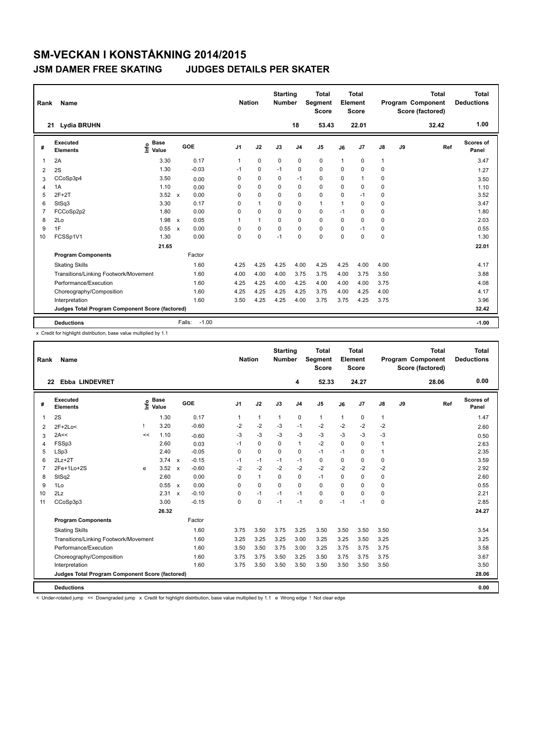| Rank           | Name                                            |                            |              |         | <b>Nation</b>  |              | <b>Starting</b><br><b>Number</b> |                | <b>Total</b><br>Segment<br><b>Score</b> |                | Total<br>Element<br><b>Score</b> |               |    | <b>Total</b><br><b>Program Component</b><br>Score (factored) | <b>Total</b><br><b>Deductions</b> |
|----------------|-------------------------------------------------|----------------------------|--------------|---------|----------------|--------------|----------------------------------|----------------|-----------------------------------------|----------------|----------------------------------|---------------|----|--------------------------------------------------------------|-----------------------------------|
|                | Lydia BRUHN<br>21                               |                            |              |         |                |              |                                  | 18             | 53.43                                   |                | 22.01                            |               |    | 32.42                                                        | 1.00                              |
| #              | Executed<br><b>Elements</b>                     | <b>Base</b><br>۴ů<br>Value |              | GOE     | J <sub>1</sub> | J2           | J3                               | J <sub>4</sub> | J <sub>5</sub>                          | J6             | J <sub>7</sub>                   | $\mathsf{J}8$ | J9 | Ref                                                          | Scores of<br>Panel                |
| 1              | 2A                                              | 3.30                       |              | 0.17    | 1              | $\mathbf 0$  | $\Omega$                         | $\mathbf 0$    | $\mathbf 0$                             | $\overline{1}$ | $\Omega$                         | $\mathbf{1}$  |    |                                                              | 3.47                              |
| 2              | 2S                                              | 1.30                       |              | $-0.03$ | $-1$           | 0            | $-1$                             | 0              | $\pmb{0}$                               | $\Omega$       | 0                                | $\mathbf 0$   |    |                                                              | 1.27                              |
| 3              | CCoSp3p4                                        | 3.50                       |              | 0.00    | 0              | $\Omega$     | $\Omega$                         | $-1$           | 0                                       | $\Omega$       | $\overline{1}$                   | $\mathbf 0$   |    |                                                              | 3.50                              |
| 4              | 1A                                              | 1.10                       |              | 0.00    | 0              | $\Omega$     | 0                                | $\mathbf 0$    | 0                                       | $\Omega$       | $\Omega$                         | 0             |    |                                                              | 1.10                              |
| 5              | $2F+2T$                                         | 3.52                       | $\mathsf{x}$ | 0.00    | 0              | $\mathbf 0$  | 0                                | 0              | $\mathbf 0$                             | $\mathbf 0$    | $-1$                             | 0             |    |                                                              | 3.52                              |
| 6              | StSq3                                           | 3.30                       |              | 0.17    | 0              | $\mathbf{1}$ | 0                                | $\mathbf 0$    | $\mathbf{1}$                            | $\overline{1}$ | $\Omega$                         | $\mathbf 0$   |    |                                                              | 3.47                              |
| $\overline{7}$ | FCCoSp2p2                                       | 1.80                       |              | 0.00    | 0              | $\Omega$     | $\Omega$                         | 0              | $\mathbf 0$                             | $-1$           | $\Omega$                         | $\mathbf 0$   |    |                                                              | 1.80                              |
| 8              | 2Lo                                             | 1.98                       | $\mathsf{x}$ | 0.05    | 1              | $\mathbf{1}$ | 0                                | $\Omega$       | $\mathbf 0$                             | $\Omega$       | $\Omega$                         | $\mathbf 0$   |    |                                                              | 2.03                              |
| 9              | 1F                                              | 0.55                       | $\mathbf x$  | 0.00    | 0              | $\mathbf 0$  | 0                                | $\Omega$       | $\pmb{0}$                               | $\Omega$       | $-1$                             | 0             |    |                                                              | 0.55                              |
| 10             | FCSSp1V1                                        | 1.30                       |              | 0.00    | 0              | 0            | $-1$                             | 0              | $\mathbf 0$                             | $\Omega$       | $\Omega$                         | $\mathbf 0$   |    |                                                              | 1.30                              |
|                |                                                 | 21.65                      |              |         |                |              |                                  |                |                                         |                |                                  |               |    |                                                              | 22.01                             |
|                | <b>Program Components</b>                       |                            |              | Factor  |                |              |                                  |                |                                         |                |                                  |               |    |                                                              |                                   |
|                | <b>Skating Skills</b>                           |                            |              | 1.60    | 4.25           | 4.25         | 4.25                             | 4.00           | 4.25                                    | 4.25           | 4.00                             | 4.00          |    |                                                              | 4.17                              |
|                | Transitions/Linking Footwork/Movement           |                            |              | 1.60    | 4.00           | 4.00         | 4.00                             | 3.75           | 3.75                                    | 4.00           | 3.75                             | 3.50          |    |                                                              | 3.88                              |
|                | Performance/Execution                           |                            |              | 1.60    | 4.25           | 4.25         | 4.00                             | 4.25           | 4.00                                    | 4.00           | 4.00                             | 3.75          |    |                                                              | 4.08                              |
|                | Choreography/Composition                        |                            |              | 1.60    | 4.25           | 4.25         | 4.25                             | 4.25           | 3.75                                    | 4.00           | 4.25                             | 4.00          |    |                                                              | 4.17                              |
|                | Interpretation                                  |                            |              | 1.60    | 3.50           | 4.25         | 4.25                             | 4.00           | 3.75                                    | 3.75           | 4.25                             | 3.75          |    |                                                              | 3.96                              |
|                | Judges Total Program Component Score (factored) |                            |              |         |                |              |                                  |                |                                         |                |                                  |               |    |                                                              | 32.42                             |
|                | <b>Deductions</b>                               |                            | Falls:       | $-1.00$ |                |              |                                  |                |                                         |                |                                  |               |    |                                                              | $-1.00$                           |

x Credit for highlight distribution, base value multiplied by 1.1

| Rank           | Name                                            |    |                            |                           |         | <b>Nation</b>  |          | <b>Starting</b><br><b>Number</b> |                | <b>Total</b><br>Segment<br><b>Score</b> |          | <b>Total</b><br>Element<br><b>Score</b> |               |    | <b>Total</b><br><b>Program Component</b><br>Score (factored) | <b>Total</b><br><b>Deductions</b> |
|----------------|-------------------------------------------------|----|----------------------------|---------------------------|---------|----------------|----------|----------------------------------|----------------|-----------------------------------------|----------|-----------------------------------------|---------------|----|--------------------------------------------------------------|-----------------------------------|
| 22             | <b>Ebba LINDEVRET</b>                           |    |                            |                           |         |                |          |                                  | 4              | 52.33                                   |          | 24.27                                   |               |    | 28.06                                                        | 0.00                              |
| #              | Executed<br><b>Elements</b>                     |    | e Base<br>E Value<br>Value |                           | GOE     | J <sub>1</sub> | J2       | J3                               | J <sub>4</sub> | J <sub>5</sub>                          | J6       | J <sub>7</sub>                          | $\mathsf{J}8$ | J9 | Ref                                                          | <b>Scores of</b><br>Panel         |
| $\mathbf{1}$   | 2S                                              |    | 1.30                       |                           | 0.17    | 1              | 1        | $\mathbf{1}$                     | 0              | $\mathbf{1}$                            | 1        | 0                                       | $\mathbf{1}$  |    |                                                              | 1.47                              |
| 2              | $2F+2Lo<$                                       |    | 3.20                       |                           | $-0.60$ | $-2$           | $-2$     | $-3$                             | $-1$           | $-2$                                    | $-2$     | $-2$                                    | $-2$          |    |                                                              | 2.60                              |
| 3              | 2A<<                                            | << | 1.10                       |                           | $-0.60$ | $-3$           | $-3$     | $-3$                             | $-3$           | $-3$                                    | $-3$     | $-3$                                    | -3            |    |                                                              | 0.50                              |
| $\overline{4}$ | FSSp3                                           |    | 2.60                       |                           | 0.03    | $-1$           | $\Omega$ | $\Omega$                         | $\mathbf{1}$   | $-2$                                    | $\Omega$ | $\Omega$                                |               |    |                                                              | 2.63                              |
| 5              | LSp3                                            |    | 2.40                       |                           | $-0.05$ | 0              | 0        | $\Omega$                         | 0              | $-1$                                    | $-1$     | $\mathbf 0$                             |               |    |                                                              | 2.35                              |
| 6              | $2Lz+2T$                                        |    | $3.74 \times$              |                           | $-0.15$ | $-1$           | $-1$     | $-1$                             | $-1$           | $\Omega$                                | $\Omega$ | $\mathbf 0$                             | 0             |    |                                                              | 3.59                              |
| $\overline{7}$ | 2Fe+1Lo+2S                                      | e  | 3.52                       | $\boldsymbol{\mathsf{x}}$ | $-0.60$ | $-2$           | $-2$     | $-2$                             | $-2$           | $-2$                                    | $-2$     | $-2$                                    | $-2$          |    |                                                              | 2.92                              |
| 8              | StSq2                                           |    | 2.60                       |                           | 0.00    | 0              | 1        | $\Omega$                         | 0              | $-1$                                    | 0        | $\mathbf 0$                             | 0             |    |                                                              | 2.60                              |
| 9              | 1Lo                                             |    | 0.55 x                     |                           | 0.00    | 0              | 0        | $\Omega$                         | 0              | 0                                       | 0        | $\mathbf 0$                             | 0             |    |                                                              | 0.55                              |
| 10             | 2Lz                                             |    | $2.31 \times$              |                           | $-0.10$ | 0              | $-1$     | $-1$                             | $-1$           | $\Omega$                                | $\Omega$ | $\Omega$                                | 0             |    |                                                              | 2.21                              |
| 11             | CCoSp3p3                                        |    | 3.00                       |                           | $-0.15$ | 0              | 0        | $-1$                             | $-1$           | 0                                       | $-1$     | $-1$                                    | 0             |    |                                                              | 2.85                              |
|                |                                                 |    | 26.32                      |                           |         |                |          |                                  |                |                                         |          |                                         |               |    |                                                              | 24.27                             |
|                | <b>Program Components</b>                       |    |                            |                           | Factor  |                |          |                                  |                |                                         |          |                                         |               |    |                                                              |                                   |
|                | <b>Skating Skills</b>                           |    |                            |                           | 1.60    | 3.75           | 3.50     | 3.75                             | 3.25           | 3.50                                    | 3.50     | 3.50                                    | 3.50          |    |                                                              | 3.54                              |
|                | Transitions/Linking Footwork/Movement           |    |                            |                           | 1.60    | 3.25           | 3.25     | 3.25                             | 3.00           | 3.25                                    | 3.25     | 3.50                                    | 3.25          |    |                                                              | 3.25                              |
|                | Performance/Execution                           |    |                            |                           | 1.60    | 3.50           | 3.50     | 3.75                             | 3.00           | 3.25                                    | 3.75     | 3.75                                    | 3.75          |    |                                                              | 3.58                              |
|                | Choreography/Composition                        |    |                            |                           | 1.60    | 3.75           | 3.75     | 3.50                             | 3.25           | 3.50                                    | 3.75     | 3.75                                    | 3.75          |    |                                                              | 3.67                              |
|                | Interpretation                                  |    |                            |                           | 1.60    | 3.75           | 3.50     | 3.50                             | 3.50           | 3.50                                    | 3.50     | 3.50                                    | 3.50          |    |                                                              | 3.50                              |
|                | Judges Total Program Component Score (factored) |    |                            |                           |         |                |          |                                  |                |                                         |          |                                         |               |    |                                                              | 28.06                             |
|                | <b>Deductions</b>                               |    |                            |                           |         |                |          |                                  |                |                                         |          |                                         |               |    |                                                              | 0.00                              |

< Under-rotated jump << Downgraded jump x Credit for highlight distribution, base value multiplied by 1.1 e Wrong edge ! Not clear edge